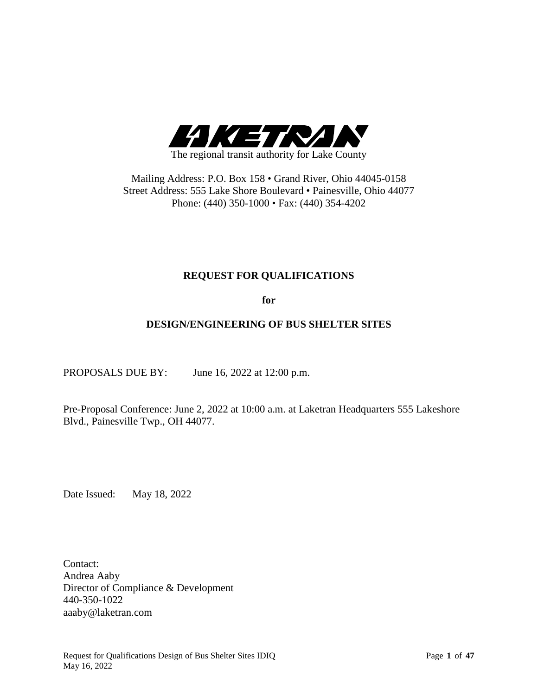

Mailing Address: P.O. Box 158 • Grand River, Ohio 44045-0158 Street Address: 555 Lake Shore Boulevard • Painesville, Ohio 44077 Phone: (440) 350-1000 • Fax: (440) 354-4202

# **REQUEST FOR QUALIFICATIONS**

**for**

# **DESIGN/ENGINEERING OF BUS SHELTER SITES**

PROPOSALS DUE BY: June 16, 2022 at 12:00 p.m.

Pre-Proposal Conference: June 2, 2022 at 10:00 a.m. at Laketran Headquarters 555 Lakeshore Blvd., Painesville Twp., OH 44077.

Date Issued: May 18, 2022

Contact: Andrea Aaby Director of Compliance & Development 440-350-1022 aaaby@laketran.com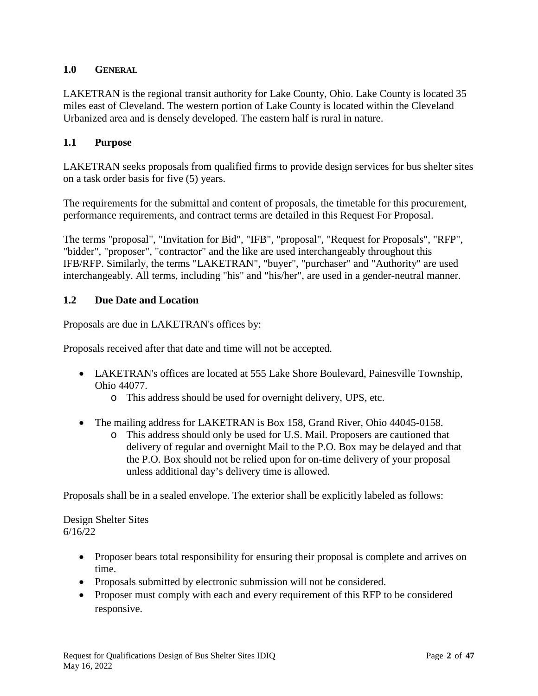### **1.0 GENERAL**

LAKETRAN is the regional transit authority for Lake County, Ohio. Lake County is located 35 miles east of Cleveland. The western portion of Lake County is located within the Cleveland Urbanized area and is densely developed. The eastern half is rural in nature.

### **1.1 Purpose**

LAKETRAN seeks proposals from qualified firms to provide design services for bus shelter sites on a task order basis for five (5) years.

The requirements for the submittal and content of proposals, the timetable for this procurement, performance requirements, and contract terms are detailed in this Request For Proposal.

The terms "proposal", "Invitation for Bid", "IFB", "proposal", "Request for Proposals", "RFP", "bidder", "proposer", "contractor" and the like are used interchangeably throughout this IFB/RFP. Similarly, the terms "LAKETRAN", "buyer", "purchaser" and "Authority" are used interchangeably. All terms, including "his" and "his/her", are used in a gender-neutral manner.

### **1.2 Due Date and Location**

Proposals are due in LAKETRAN's offices by:

Proposals received after that date and time will not be accepted.

- LAKETRAN's offices are located at 555 Lake Shore Boulevard, Painesville Township, Ohio 44077.
	- o This address should be used for overnight delivery, UPS, etc.
- The mailing address for LAKETRAN is Box 158, Grand River, Ohio 44045-0158.
	- o This address should only be used for U.S. Mail. Proposers are cautioned that delivery of regular and overnight Mail to the P.O. Box may be delayed and that the P.O. Box should not be relied upon for on-time delivery of your proposal unless additional day's delivery time is allowed.

Proposals shall be in a sealed envelope. The exterior shall be explicitly labeled as follows:

Design Shelter Sites 6/16/22

- Proposer bears total responsibility for ensuring their proposal is complete and arrives on time.
- Proposals submitted by electronic submission will not be considered.
- Proposer must comply with each and every requirement of this RFP to be considered responsive.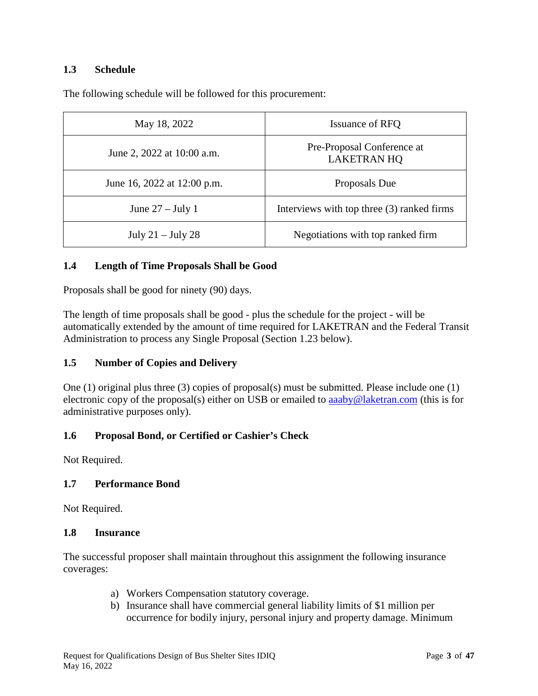### **1.3 Schedule**

The following schedule will be followed for this procurement:

| May 18, 2022                | Issuance of RFQ                                  |  |
|-----------------------------|--------------------------------------------------|--|
| June 2, 2022 at 10:00 a.m.  | Pre-Proposal Conference at<br><b>LAKETRAN HQ</b> |  |
| June 16, 2022 at 12:00 p.m. | Proposals Due                                    |  |
| June $27 -$ July 1          | Interviews with top three (3) ranked firms       |  |
| July $21 -$ July $28$       | Negotiations with top ranked firm                |  |

### **1.4 Length of Time Proposals Shall be Good**

Proposals shall be good for ninety (90) days.

The length of time proposals shall be good - plus the schedule for the project - will be automatically extended by the amount of time required for LAKETRAN and the Federal Transit Administration to process any Single Proposal (Section 1.23 below).

#### **1.5 Number of Copies and Delivery**

One (1) original plus three (3) copies of proposal(s) must be submitted. Please include one (1) electronic copy of the proposal(s) either on USB or emailed to [aaaby@laketran.com](mailto:aaaby@laketran.com) (this is for administrative purposes only).

#### **1.6 Proposal Bond, or Certified or Cashier's Check**

Not Required.

#### **1.7 Performance Bond**

Not Required.

#### **1.8 Insurance**

The successful proposer shall maintain throughout this assignment the following insurance coverages:

- a) Workers Compensation statutory coverage.
- b) Insurance shall have commercial general liability limits of \$1 million per occurrence for bodily injury, personal injury and property damage. Minimum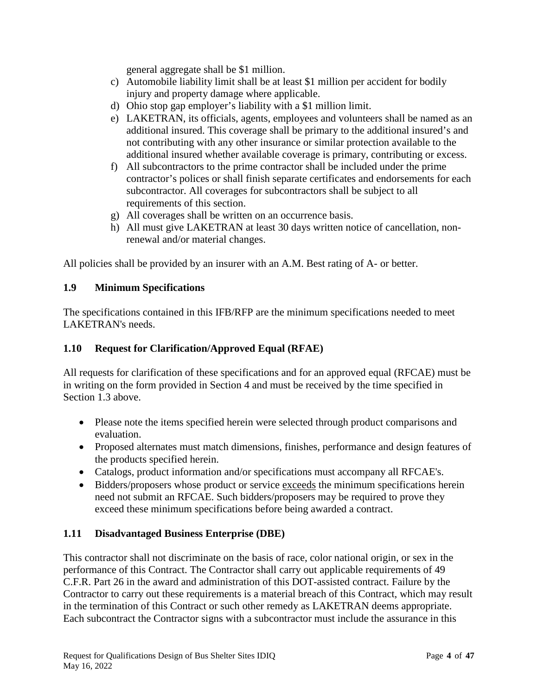general aggregate shall be \$1 million.

- c) Automobile liability limit shall be at least \$1 million per accident for bodily injury and property damage where applicable.
- d) Ohio stop gap employer's liability with a \$1 million limit.
- e) LAKETRAN, its officials, agents, employees and volunteers shall be named as an additional insured. This coverage shall be primary to the additional insured's and not contributing with any other insurance or similar protection available to the additional insured whether available coverage is primary, contributing or excess.
- f) All subcontractors to the prime contractor shall be included under the prime contractor's polices or shall finish separate certificates and endorsements for each subcontractor. All coverages for subcontractors shall be subject to all requirements of this section.
- g) All coverages shall be written on an occurrence basis.
- h) All must give LAKETRAN at least 30 days written notice of cancellation, nonrenewal and/or material changes.

All policies shall be provided by an insurer with an A.M. Best rating of A- or better.

### **1.9 Minimum Specifications**

The specifications contained in this IFB/RFP are the minimum specifications needed to meet LAKETRAN's needs.

### **1.10 Request for Clarification/Approved Equal (RFAE)**

All requests for clarification of these specifications and for an approved equal (RFCAE) must be in writing on the form provided in Section 4 and must be received by the time specified in Section 1.3 above.

- Please note the items specified herein were selected through product comparisons and evaluation.
- Proposed alternates must match dimensions, finishes, performance and design features of the products specified herein.
- Catalogs, product information and/or specifications must accompany all RFCAE's.
- Bidders/proposers whose product or service exceeds the minimum specifications herein need not submit an RFCAE. Such bidders/proposers may be required to prove they exceed these minimum specifications before being awarded a contract.

#### **1.11 Disadvantaged Business Enterprise (DBE)**

This contractor shall not discriminate on the basis of race, color national origin, or sex in the performance of this Contract. The Contractor shall carry out applicable requirements of 49 C.F.R. Part 26 in the award and administration of this DOT-assisted contract. Failure by the Contractor to carry out these requirements is a material breach of this Contract, which may result in the termination of this Contract or such other remedy as LAKETRAN deems appropriate. Each subcontract the Contractor signs with a subcontractor must include the assurance in this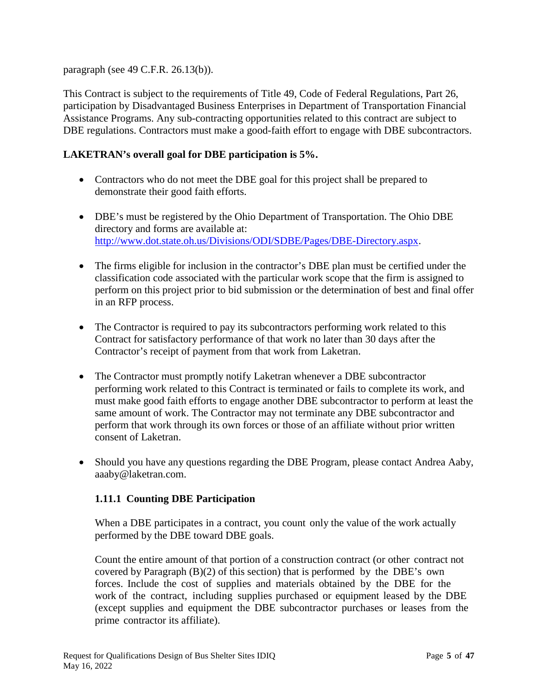paragraph (see 49 C.F.R. 26.13(b)).

This Contract is subject to the requirements of Title 49, Code of Federal Regulations, Part 26, participation by Disadvantaged Business Enterprises in Department of Transportation Financial Assistance Programs. Any sub-contracting opportunities related to this contract are subject to DBE regulations. Contractors must make a good-faith effort to engage with DBE subcontractors.

# **LAKETRAN's overall goal for DBE participation is 5%.**

- Contractors who do not meet the DBE goal for this project shall be prepared to demonstrate their good faith efforts.
- DBE's must be registered by the Ohio Department of Transportation. The Ohio DBE directory and forms are available at: [http://www.dot.state.oh.us/Divisions/ODI/SDBE/Pages/DBE-Directory.aspx.](http://www.dot.state.oh.us/Divisions/ODI/SDBE/Pages/DBE-Directory.aspx)
- The firms eligible for inclusion in the contractor's DBE plan must be certified under the classification code associated with the particular work scope that the firm is assigned to perform on this project prior to bid submission or the determination of best and final offer in an RFP process.
- The Contractor is required to pay its subcontractors performing work related to this Contract for satisfactory performance of that work no later than 30 days after the Contractor's receipt of payment from that work from Laketran.
- The Contractor must promptly notify Laketran whenever a DBE subcontractor performing work related to this Contract is terminated or fails to complete its work, and must make good faith efforts to engage another DBE subcontractor to perform at least the same amount of work. The Contractor may not terminate any DBE subcontractor and perform that work through its own forces or those of an affiliate without prior written consent of Laketran.
- Should you have any questions regarding the DBE Program, please contact Andrea Aaby, aaaby@laketran.com.

# **1.11.1 Counting DBE Participation**

When a DBE participates in a contract, you count only the value of the work actually performed by the DBE toward DBE goals.

Count the entire amount of that portion of a construction contract (or other contract not covered by Paragraph (B)(2) of this section) that is performed by the DBE's own forces. Include the cost of supplies and materials obtained by the DBE for the work of the contract, including supplies purchased or equipment leased by the DBE (except supplies and equipment the DBE subcontractor purchases or leases from the prime contractor its affiliate).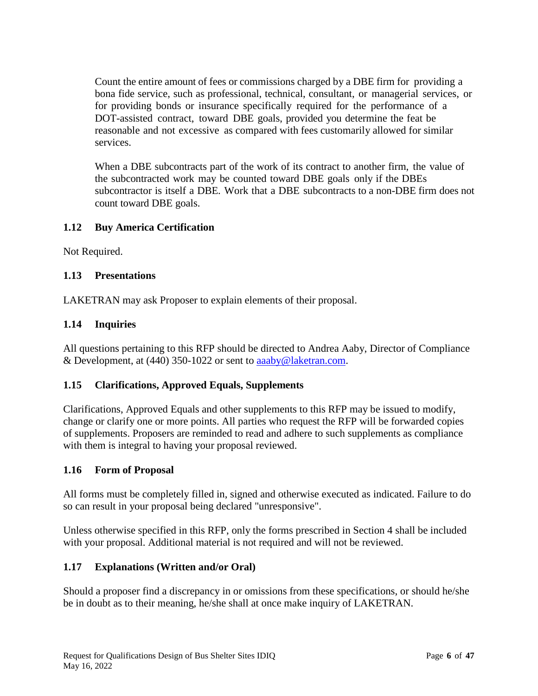Count the entire amount of fees or commissions charged by a DBE firm for providing a bona fide service, such as professional, technical, consultant, or managerial services, or for providing bonds or insurance specifically required for the performance of a DOT-assisted contract, toward DBE goals, provided you determine the feat be reasonable and not excessive as compared with fees customarily allowed for similar services.

When a DBE subcontracts part of the work of its contract to another firm, the value of the subcontracted work may be counted toward DBE goals only if the DBEs subcontractor is itself a DBE. Work that a DBE subcontracts to a non-DBE firm does not count toward DBE goals.

# **1.12 Buy America Certification**

Not Required.

# **1.13 Presentations**

LAKETRAN may ask Proposer to explain elements of their proposal.

### **1.14 Inquiries**

All questions pertaining to this RFP should be directed to Andrea Aaby, Director of Compliance & Development, at (440) 350-1022 or sent to [aaaby@laketran.com.](mailto:aaaby@laketran.com)

# **1.15 Clarifications, Approved Equals, Supplements**

Clarifications, Approved Equals and other supplements to this RFP may be issued to modify, change or clarify one or more points. All parties who request the RFP will be forwarded copies of supplements. Proposers are reminded to read and adhere to such supplements as compliance with them is integral to having your proposal reviewed.

#### **1.16 Form of Proposal**

All forms must be completely filled in, signed and otherwise executed as indicated. Failure to do so can result in your proposal being declared "unresponsive".

Unless otherwise specified in this RFP, only the forms prescribed in Section 4 shall be included with your proposal. Additional material is not required and will not be reviewed.

#### **1.17 Explanations (Written and/or Oral)**

Should a proposer find a discrepancy in or omissions from these specifications, or should he/she be in doubt as to their meaning, he/she shall at once make inquiry of LAKETRAN.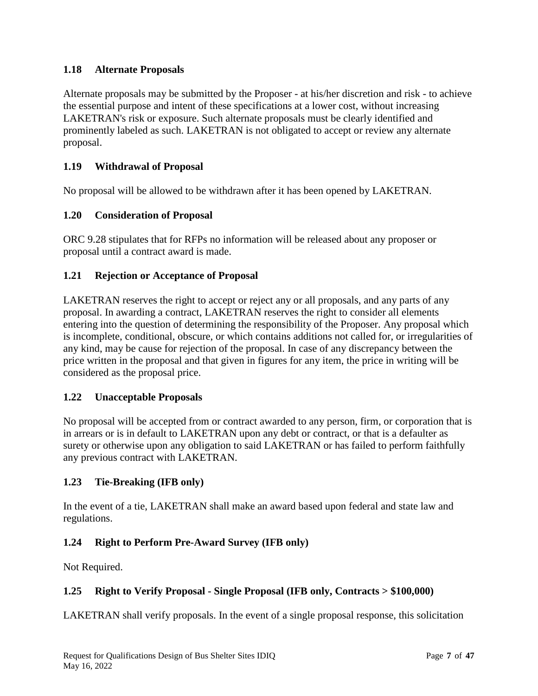# **1.18 Alternate Proposals**

Alternate proposals may be submitted by the Proposer - at his/her discretion and risk - to achieve the essential purpose and intent of these specifications at a lower cost, without increasing LAKETRAN's risk or exposure. Such alternate proposals must be clearly identified and prominently labeled as such. LAKETRAN is not obligated to accept or review any alternate proposal.

# **1.19 Withdrawal of Proposal**

No proposal will be allowed to be withdrawn after it has been opened by LAKETRAN.

### **1.20 Consideration of Proposal**

ORC 9.28 stipulates that for RFPs no information will be released about any proposer or proposal until a contract award is made.

### **1.21 Rejection or Acceptance of Proposal**

LAKETRAN reserves the right to accept or reject any or all proposals, and any parts of any proposal. In awarding a contract, LAKETRAN reserves the right to consider all elements entering into the question of determining the responsibility of the Proposer. Any proposal which is incomplete, conditional, obscure, or which contains additions not called for, or irregularities of any kind, may be cause for rejection of the proposal. In case of any discrepancy between the price written in the proposal and that given in figures for any item, the price in writing will be considered as the proposal price.

#### **1.22 Unacceptable Proposals**

No proposal will be accepted from or contract awarded to any person, firm, or corporation that is in arrears or is in default to LAKETRAN upon any debt or contract, or that is a defaulter as surety or otherwise upon any obligation to said LAKETRAN or has failed to perform faithfully any previous contract with LAKETRAN.

# **1.23 Tie-Breaking (IFB only)**

In the event of a tie, LAKETRAN shall make an award based upon federal and state law and regulations.

# **1.24 Right to Perform Pre-Award Survey (IFB only)**

Not Required.

#### **1.25 Right to Verify Proposal - Single Proposal (IFB only, Contracts > \$100,000)**

LAKETRAN shall verify proposals. In the event of a single proposal response, this solicitation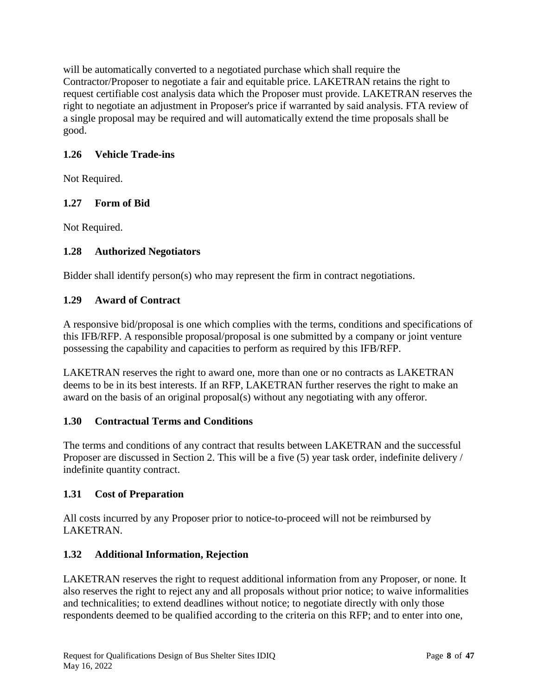will be automatically converted to a negotiated purchase which shall require the Contractor/Proposer to negotiate a fair and equitable price. LAKETRAN retains the right to request certifiable cost analysis data which the Proposer must provide. LAKETRAN reserves the right to negotiate an adjustment in Proposer's price if warranted by said analysis. FTA review of a single proposal may be required and will automatically extend the time proposals shall be good.

# **1.26 Vehicle Trade-ins**

Not Required.

# **1.27 Form of Bid**

Not Required.

# **1.28 Authorized Negotiators**

Bidder shall identify person(s) who may represent the firm in contract negotiations.

# **1.29 Award of Contract**

A responsive bid/proposal is one which complies with the terms, conditions and specifications of this IFB/RFP. A responsible proposal/proposal is one submitted by a company or joint venture possessing the capability and capacities to perform as required by this IFB/RFP.

LAKETRAN reserves the right to award one, more than one or no contracts as LAKETRAN deems to be in its best interests. If an RFP, LAKETRAN further reserves the right to make an award on the basis of an original proposal(s) without any negotiating with any offeror.

# **1.30 Contractual Terms and Conditions**

The terms and conditions of any contract that results between LAKETRAN and the successful Proposer are discussed in Section 2. This will be a five (5) year task order, indefinite delivery / indefinite quantity contract.

# **1.31 Cost of Preparation**

All costs incurred by any Proposer prior to notice-to-proceed will not be reimbursed by LAKETRAN.

# **1.32 Additional Information, Rejection**

LAKETRAN reserves the right to request additional information from any Proposer, or none. It also reserves the right to reject any and all proposals without prior notice; to waive informalities and technicalities; to extend deadlines without notice; to negotiate directly with only those respondents deemed to be qualified according to the criteria on this RFP; and to enter into one,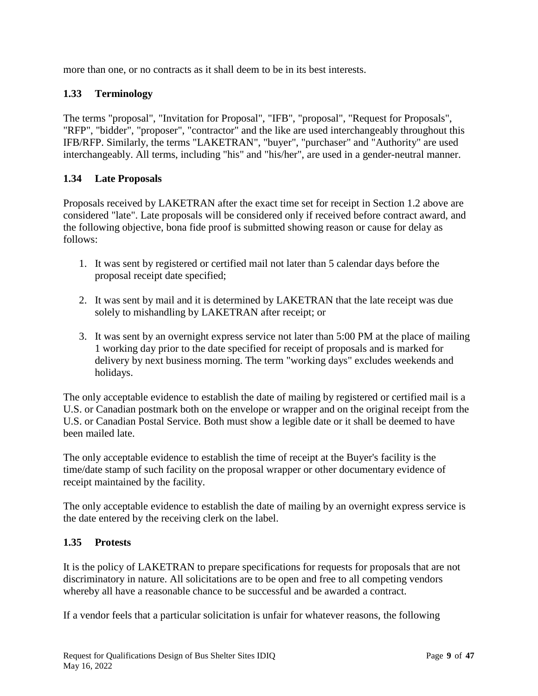more than one, or no contracts as it shall deem to be in its best interests.

# **1.33 Terminology**

The terms "proposal", "Invitation for Proposal", "IFB", "proposal", "Request for Proposals", "RFP", "bidder", "proposer", "contractor" and the like are used interchangeably throughout this IFB/RFP. Similarly, the terms "LAKETRAN", "buyer", "purchaser" and "Authority" are used interchangeably. All terms, including "his" and "his/her", are used in a gender-neutral manner.

# **1.34 Late Proposals**

Proposals received by LAKETRAN after the exact time set for receipt in Section 1.2 above are considered "late". Late proposals will be considered only if received before contract award, and the following objective, bona fide proof is submitted showing reason or cause for delay as follows:

- 1. It was sent by registered or certified mail not later than 5 calendar days before the proposal receipt date specified;
- 2. It was sent by mail and it is determined by LAKETRAN that the late receipt was due solely to mishandling by LAKETRAN after receipt; or
- 3. It was sent by an overnight express service not later than 5:00 PM at the place of mailing 1 working day prior to the date specified for receipt of proposals and is marked for delivery by next business morning. The term "working days" excludes weekends and holidays.

The only acceptable evidence to establish the date of mailing by registered or certified mail is a U.S. or Canadian postmark both on the envelope or wrapper and on the original receipt from the U.S. or Canadian Postal Service. Both must show a legible date or it shall be deemed to have been mailed late.

The only acceptable evidence to establish the time of receipt at the Buyer's facility is the time/date stamp of such facility on the proposal wrapper or other documentary evidence of receipt maintained by the facility.

The only acceptable evidence to establish the date of mailing by an overnight express service is the date entered by the receiving clerk on the label.

#### **1.35 Protests**

It is the policy of LAKETRAN to prepare specifications for requests for proposals that are not discriminatory in nature. All solicitations are to be open and free to all competing vendors whereby all have a reasonable chance to be successful and be awarded a contract.

If a vendor feels that a particular solicitation is unfair for whatever reasons, the following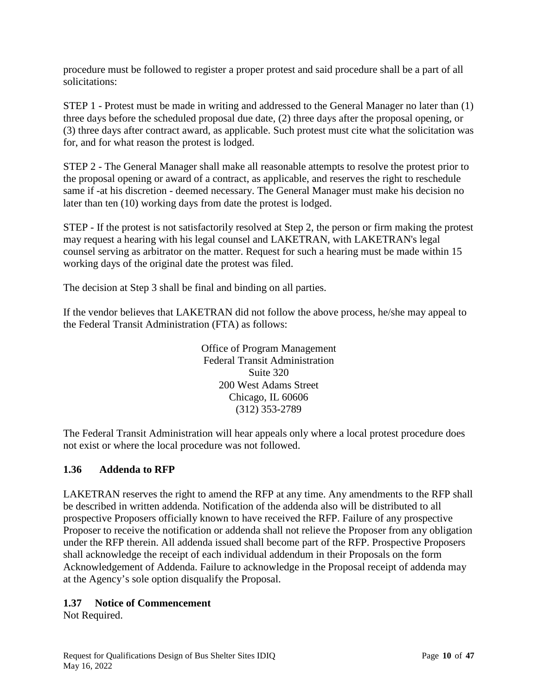procedure must be followed to register a proper protest and said procedure shall be a part of all solicitations:

STEP 1 - Protest must be made in writing and addressed to the General Manager no later than (1) three days before the scheduled proposal due date, (2) three days after the proposal opening, or (3) three days after contract award, as applicable. Such protest must cite what the solicitation was for, and for what reason the protest is lodged.

STEP 2 - The General Manager shall make all reasonable attempts to resolve the protest prior to the proposal opening or award of a contract, as applicable, and reserves the right to reschedule same if -at his discretion - deemed necessary. The General Manager must make his decision no later than ten (10) working days from date the protest is lodged.

STEP - If the protest is not satisfactorily resolved at Step 2, the person or firm making the protest may request a hearing with his legal counsel and LAKETRAN, with LAKETRAN's legal counsel serving as arbitrator on the matter. Request for such a hearing must be made within 15 working days of the original date the protest was filed.

The decision at Step 3 shall be final and binding on all parties.

If the vendor believes that LAKETRAN did not follow the above process, he/she may appeal to the Federal Transit Administration (FTA) as follows:

> Office of Program Management Federal Transit Administration Suite 320 200 West Adams Street Chicago, IL 60606 (312) 353-2789

The Federal Transit Administration will hear appeals only where a local protest procedure does not exist or where the local procedure was not followed.

# **1.36 Addenda to RFP**

LAKETRAN reserves the right to amend the RFP at any time. Any amendments to the RFP shall be described in written addenda. Notification of the addenda also will be distributed to all prospective Proposers officially known to have received the RFP. Failure of any prospective Proposer to receive the notification or addenda shall not relieve the Proposer from any obligation under the RFP therein. All addenda issued shall become part of the RFP. Prospective Proposers shall acknowledge the receipt of each individual addendum in their Proposals on the form Acknowledgement of Addenda. Failure to acknowledge in the Proposal receipt of addenda may at the Agency's sole option disqualify the Proposal.

### **1.37 Notice of Commencement**

Not Required.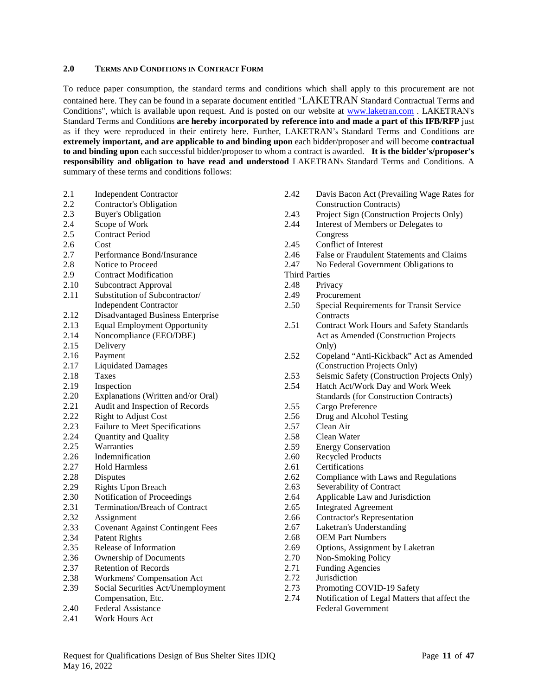#### **2.0 TERMS AND CONDITIONS IN CONTRACT FORM**

To reduce paper consumption, the standard terms and conditions which shall apply to this procurement are not contained here. They can be found in a separate document entitled "LAKETRAN Standard Contractual Terms and Conditions", which is available upon request. And is posted on our website at [www.laketran.com](http://www.laketran.com/) . LAKETRAN's Standard Terms and Conditions **are hereby incorporated by reference into and made a part of this IFB/RFP** just as if they were reproduced in their entirety here. Further, LAKETRAN's Standard Terms and Conditions are **extremely important, and are applicable to and binding upon** each bidder/proposer and will become **contractual to and binding upon** each successful bidder/proposer to whom a contract is awarded. **It is the bidder's/proposer's responsibility and obligation to have read and understood** LAKETRAN's Standard Terms and Conditions. A summary of these terms and conditions follows:

- 2.1 Independent Contractor
- 2.2 Contractor's Obligation<br>2.3 Buver's Obligation
- Buyer's Obligation
- 2.4 Scope of Work
- 2.5 Contract Period
- 2.6 Cost
- 2.7 Performance Bond/Insurance
- 2.8 Notice to Proceed
- 2.9 Contract Modification
- 2.10 Subcontract Approval
- 2.11 Substitution of Subcontractor/ Independent Contractor
- 2.12 Disadvantaged Business Enterprise
- 2.13 Equal Employment Opportunity<br>2.14 Noncompliance (EEO/DBE)
- Noncompliance (EEO/DBE)
- 2.15 Delivery
- 
- 2.16 Payment<br>2.17 Liquidate Liquidated Damages
- 2.18 Taxes
- 
- 2.19 Inspection<br>2.20 Explanatio Explanations (Written and/or Oral)
- 2.21 Audit and Inspection of Records
- 2.22 Right to Adjust Cost<br>2.23 Failure to Meet Speci
- Failure to Meet Specifications
- 2.24 Ouantity and Ouality
- 2.25 Warranties
- 2.26 Indemnification
- 2.27 Hold Harmless
- 2.28 Disputes
- 2.29 Rights Upon Breach
- 2.30 Notification of Proceedings
- 2.31 Termination/Breach of Contract
- 2.32 Assignment
- 2.33 Covenant Against Contingent Fees
- 2.34 Patent Rights
- 2.35 Release of Information
- 2.36 Ownership of Documents
- 2.37 Retention of Records
- 2.38 Workmens' Compensation Act
- 2.39 Social Securities Act/Unemployment Compensation, Etc.
- 2.40 Federal Assistance
- 2.41 Work Hours Act
- 2.42 Davis Bacon Act (Prevailing Wage Rates for Construction Contracts) 2.43 Project Sign (Construction Projects Only) 2.44 Interest of Members or Delegates to Congress 2.45 Conflict of Interest 2.46 False or Fraudulent Statements and Claims 2.47 No Federal Government Obligations to Third Parties 2.48 Privacy 2.49 Procurement 2.50 Special Requirements for Transit Service **Contracts** 2.51 Contract Work Hours and Safety Standards Act as Amended (Construction Projects Only) 2.52 Copeland "Anti-Kickback" Act as Amended (Construction Projects Only) 2.53 Seismic Safety (Construction Projects Only)<br>2.54 Hatch Act/Work Dav and Work Week Hatch Act/Work Day and Work Week Standards (for Construction Contracts) 2.55 Cargo Preference 2.56 Drug and Alcohol Testing
- 2.57 Clean Air
- 2.58 Clean Water<br>2.59 Energy Conse
- **Energy Conservation**
- 2.60 Recycled Products
- 2.61 Certifications<br>2.62 Compliance w
- Compliance with Laws and Regulations
- 2.63 Severability of Contract
- 2.64 Applicable Law and Jurisdiction
- 2.65 Integrated Agreement
- 2.66 Contractor's Representation
- 2.67 Laketran's Understanding
- 2.68 OEM Part Numbers
- 2.69 Options, Assignment by Laketran
- 2.70 Non-Smoking Policy
- 2.71 Funding Agencies
- 2.72 Jurisdiction
- 2.73 Promoting COVID-19 Safety
- 2.74 Notification of Legal Matters that affect the Federal Government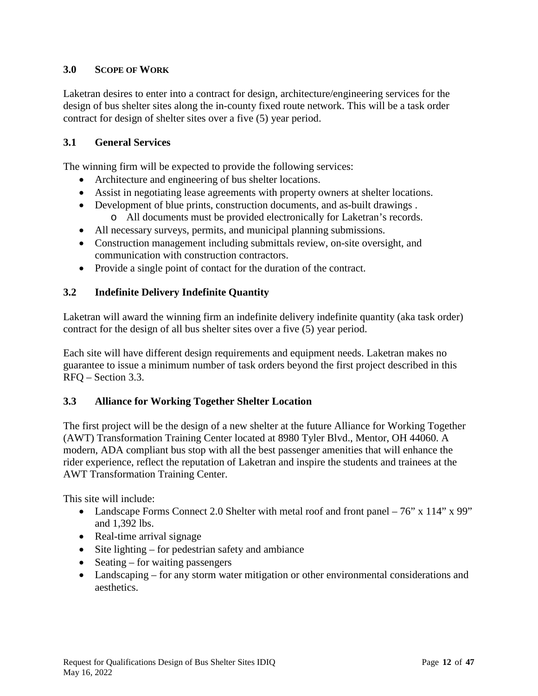# **3.0 SCOPE OF WORK**

Laketran desires to enter into a contract for design, architecture/engineering services for the design of bus shelter sites along the in-county fixed route network. This will be a task order contract for design of shelter sites over a five (5) year period.

# **3.1 General Services**

The winning firm will be expected to provide the following services:

- Architecture and engineering of bus shelter locations.
- Assist in negotiating lease agreements with property owners at shelter locations.
- Development of blue prints, construction documents, and as-built drawings .
	- o All documents must be provided electronically for Laketran's records.
- All necessary surveys, permits, and municipal planning submissions.
- Construction management including submittals review, on-site oversight, and communication with construction contractors.
- Provide a single point of contact for the duration of the contract.

# **3.2 Indefinite Delivery Indefinite Quantity**

Laketran will award the winning firm an indefinite delivery indefinite quantity (aka task order) contract for the design of all bus shelter sites over a five (5) year period.

Each site will have different design requirements and equipment needs. Laketran makes no guarantee to issue a minimum number of task orders beyond the first project described in this RFQ – Section 3.3.

# **3.3 Alliance for Working Together Shelter Location**

The first project will be the design of a new shelter at the future Alliance for Working Together (AWT) Transformation Training Center located at 8980 Tyler Blvd., Mentor, OH 44060. A modern, ADA compliant bus stop with all the best passenger amenities that will enhance the rider experience, reflect the reputation of Laketran and inspire the students and trainees at the AWT Transformation Training Center.

This site will include:

- Landscape Forms Connect 2.0 Shelter with metal roof and front panel 76" x 114" x 99" and 1,392 lbs.
- Real-time arrival signage
- Site lighting for pedestrian safety and ambiance
- Seating for waiting passengers
- Landscaping for any storm water mitigation or other environmental considerations and aesthetics.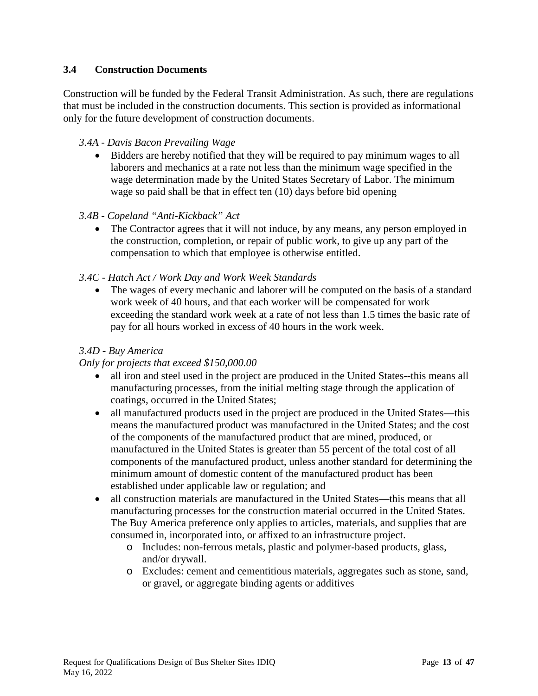# **3.4 Construction Documents**

Construction will be funded by the Federal Transit Administration. As such, there are regulations that must be included in the construction documents. This section is provided as informational only for the future development of construction documents.

### *3.4A - Davis Bacon Prevailing Wage*

• Bidders are hereby notified that they will be required to pay minimum wages to all laborers and mechanics at a rate not less than the minimum wage specified in the wage determination made by the United States Secretary of Labor. The minimum wage so paid shall be that in effect ten (10) days before bid opening

### *3.4B - Copeland "Anti-Kickback" Act*

• The Contractor agrees that it will not induce, by any means, any person employed in the construction, completion, or repair of public work, to give up any part of the compensation to which that employee is otherwise entitled.

### *3.4C - Hatch Act / Work Day and Work Week Standards*

• The wages of every mechanic and laborer will be computed on the basis of a standard work week of 40 hours, and that each worker will be compensated for work exceeding the standard work week at a rate of not less than 1.5 times the basic rate of pay for all hours worked in excess of 40 hours in the work week.

### *3.4D - Buy America*

#### *Only for projects that exceed \$150,000.00*

- all iron and steel used in the project are produced in the United States--this means all manufacturing processes, from the initial melting stage through the application of coatings, occurred in the United States;
- all manufactured products used in the project are produced in the United States—this means the manufactured product was manufactured in the United States; and the cost of the components of the manufactured product that are mined, produced, or manufactured in the United States is greater than 55 percent of the total cost of all components of the manufactured product, unless another standard for determining the minimum amount of domestic content of the manufactured product has been established under applicable law or regulation; and
- all construction materials are manufactured in the United States—this means that all manufacturing processes for the construction material occurred in the United States. The Buy America preference only applies to articles, materials, and supplies that are consumed in, incorporated into, or affixed to an infrastructure project.
	- o Includes: non-ferrous metals, plastic and polymer-based products, glass, and/or drywall.
	- o Excludes: cement and cementitious materials, aggregates such as stone, sand, or gravel, or aggregate binding agents or additives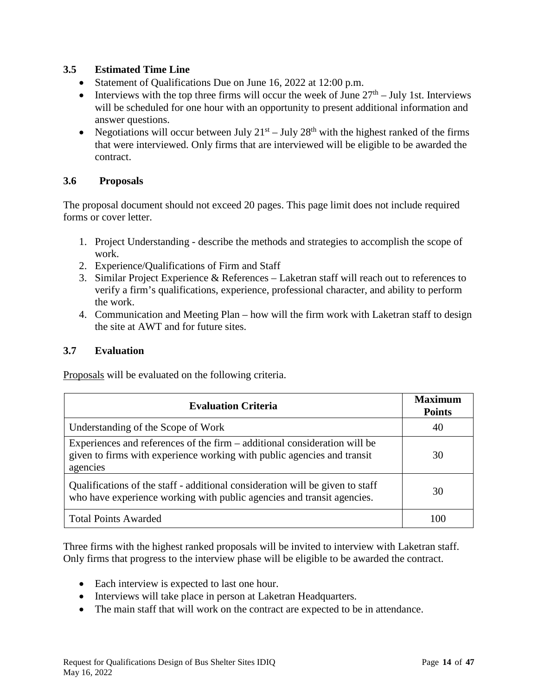# **3.5 Estimated Time Line**

- Statement of Qualifications Due on June 16, 2022 at 12:00 p.m.
- Interviews with the top three firms will occur the week of June  $27<sup>th</sup>$  July 1st. Interviews will be scheduled for one hour with an opportunity to present additional information and answer questions.
- Negotiations will occur between July  $21<sup>st</sup> July 28<sup>th</sup> with the highest ranked of the firms$ that were interviewed. Only firms that are interviewed will be eligible to be awarded the contract.

# **3.6 Proposals**

The proposal document should not exceed 20 pages. This page limit does not include required forms or cover letter.

- 1. Project Understanding describe the methods and strategies to accomplish the scope of work.
- 2. Experience/Qualifications of Firm and Staff
- 3. Similar Project Experience & References Laketran staff will reach out to references to verify a firm's qualifications, experience, professional character, and ability to perform the work.
- 4. Communication and Meeting Plan how will the firm work with Laketran staff to design the site at AWT and for future sites.

# **3.7 Evaluation**

Proposals will be evaluated on the following criteria.

| <b>Evaluation Criteria</b>                                                                                                                                       | <b>Maximum</b><br><b>Points</b> |
|------------------------------------------------------------------------------------------------------------------------------------------------------------------|---------------------------------|
| Understanding of the Scope of Work                                                                                                                               | 40                              |
| Experiences and references of the firm – additional consideration will be<br>given to firms with experience working with public agencies and transit<br>agencies | 30                              |
| Qualifications of the staff - additional consideration will be given to staff<br>who have experience working with public agencies and transit agencies.          | 30                              |
| <b>Total Points Awarded</b>                                                                                                                                      | 100                             |

Three firms with the highest ranked proposals will be invited to interview with Laketran staff. Only firms that progress to the interview phase will be eligible to be awarded the contract.

- Each interview is expected to last one hour.
- Interviews will take place in person at Laketran Headquarters.
- The main staff that will work on the contract are expected to be in attendance.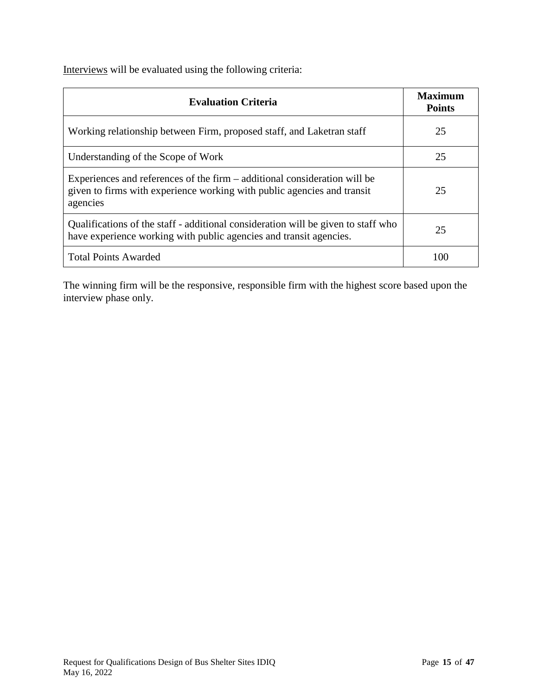Interviews will be evaluated using the following criteria:

| <b>Evaluation Criteria</b>                                                                                                                                       | Maximum<br><b>Points</b> |
|------------------------------------------------------------------------------------------------------------------------------------------------------------------|--------------------------|
| Working relationship between Firm, proposed staff, and Laketran staff                                                                                            | 25                       |
| Understanding of the Scope of Work                                                                                                                               | 25                       |
| Experiences and references of the firm – additional consideration will be<br>given to firms with experience working with public agencies and transit<br>agencies | 25                       |
| Qualifications of the staff - additional consideration will be given to staff who<br>have experience working with public agencies and transit agencies.          | 25                       |
| <b>Total Points Awarded</b>                                                                                                                                      | 100                      |

The winning firm will be the responsive, responsible firm with the highest score based upon the interview phase only.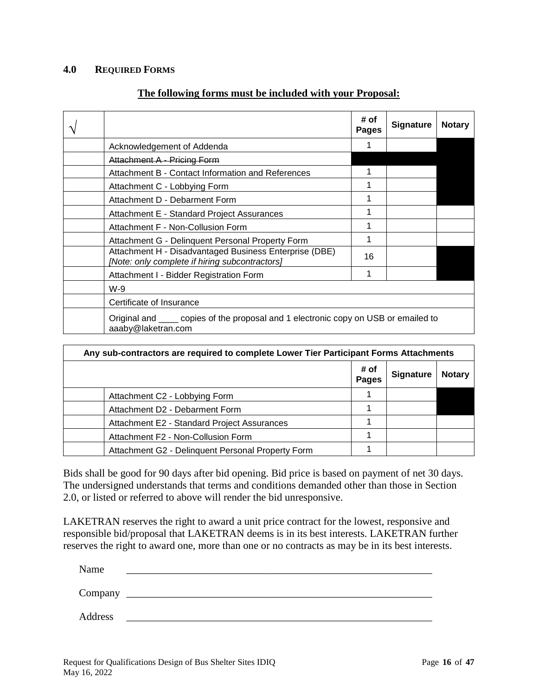#### **4.0 REQUIRED FORMS**

#### **The following forms must be included with your Proposal:**

|                                                                                                           | # of<br>Pages | <b>Signature</b> | <b>Notary</b> |
|-----------------------------------------------------------------------------------------------------------|---------------|------------------|---------------|
| Acknowledgement of Addenda                                                                                |               |                  |               |
| Attachment A - Pricing Form                                                                               |               |                  |               |
| Attachment B - Contact Information and References                                                         | 1             |                  |               |
| Attachment C - Lobbying Form                                                                              | 1             |                  |               |
| Attachment D - Debarment Form                                                                             | 1             |                  |               |
| Attachment E - Standard Project Assurances                                                                | 1             |                  |               |
| Attachment F - Non-Collusion Form                                                                         | 1             |                  |               |
| Attachment G - Delinquent Personal Property Form                                                          | 1             |                  |               |
| Attachment H - Disadvantaged Business Enterprise (DBE)<br>[Note: only complete if hiring subcontractors]  | 16            |                  |               |
| Attachment I - Bidder Registration Form                                                                   | 1             |                  |               |
| $W-9$                                                                                                     |               |                  |               |
| Certificate of Insurance                                                                                  |               |                  |               |
| Original and same copies of the proposal and 1 electronic copy on USB or emailed to<br>aaaby@laketran.com |               |                  |               |

| Any sub-contractors are required to complete Lower Tier Participant Forms Attachments |                      |                  |               |
|---------------------------------------------------------------------------------------|----------------------|------------------|---------------|
|                                                                                       | # of<br><b>Pages</b> | <b>Signature</b> | <b>Notary</b> |
| Attachment C2 - Lobbying Form                                                         |                      |                  |               |
| Attachment D2 - Debarment Form                                                        |                      |                  |               |
| Attachment E2 - Standard Project Assurances                                           |                      |                  |               |
| Attachment F2 - Non-Collusion Form                                                    |                      |                  |               |
| Attachment G2 - Delinquent Personal Property Form                                     |                      |                  |               |

Bids shall be good for 90 days after bid opening. Bid price is based on payment of net 30 days. The undersigned understands that terms and conditions demanded other than those in Section 2.0, or listed or referred to above will render the bid unresponsive.

LAKETRAN reserves the right to award a unit price contract for the lowest, responsive and responsible bid/proposal that LAKETRAN deems is in its best interests. LAKETRAN further reserves the right to award one, more than one or no contracts as may be in its best interests.

Name \_\_\_\_\_\_\_\_\_\_\_\_\_\_\_\_\_\_\_\_\_\_\_\_\_\_\_\_\_\_\_\_\_\_\_\_\_\_\_\_\_\_\_\_\_\_\_\_\_\_\_\_\_\_\_\_\_\_ Company \_\_\_\_\_\_\_\_\_\_\_\_\_\_\_\_\_\_\_\_\_\_\_\_\_\_\_\_\_\_\_\_\_\_\_\_\_\_\_\_\_\_\_\_\_\_\_\_\_\_\_\_\_\_\_\_\_\_

Address \_\_\_\_\_\_\_\_\_\_\_\_\_\_\_\_\_\_\_\_\_\_\_\_\_\_\_\_\_\_\_\_\_\_\_\_\_\_\_\_\_\_\_\_\_\_\_\_\_\_\_\_\_\_\_\_\_\_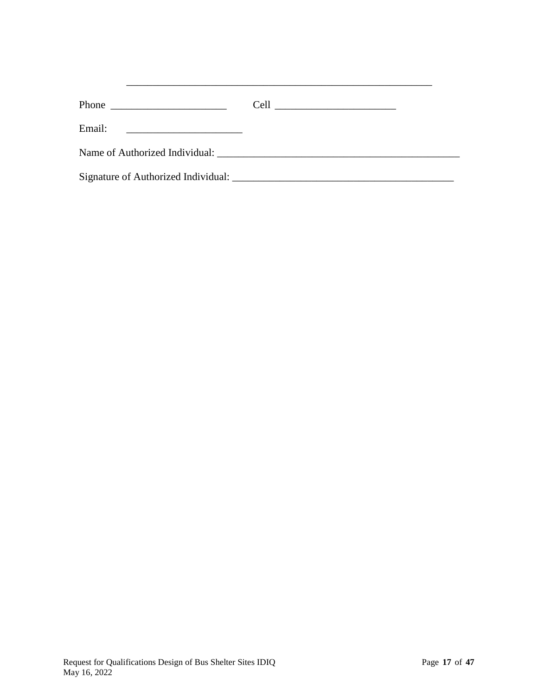| Phone                                                   |  |
|---------------------------------------------------------|--|
| Email:<br><u> 1980 - Andrea Andrew Maria (h. 1980).</u> |  |
| Name of Authorized Individual:                          |  |
|                                                         |  |

\_\_\_\_\_\_\_\_\_\_\_\_\_\_\_\_\_\_\_\_\_\_\_\_\_\_\_\_\_\_\_\_\_\_\_\_\_\_\_\_\_\_\_\_\_\_\_\_\_\_\_\_\_\_\_\_\_\_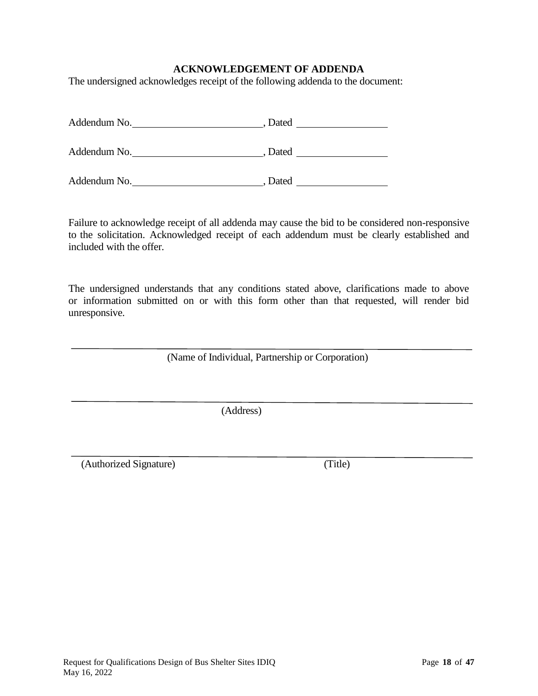### **ACKNOWLEDGEMENT OF ADDENDA**

The undersigned acknowledges receipt of the following addenda to the document:

| Addendum No. | Dated |  |
|--------------|-------|--|
| Addendum No. | Dated |  |
| Addendum No. | Dated |  |

Failure to acknowledge receipt of all addenda may cause the bid to be considered non-responsive to the solicitation. Acknowledged receipt of each addendum must be clearly established and included with the offer.

The undersigned understands that any conditions stated above, clarifications made to above or information submitted on or with this form other than that requested, will render bid unresponsive.

(Name of Individual, Partnership or Corporation)

(Address)

(Authorized Signature) (Title)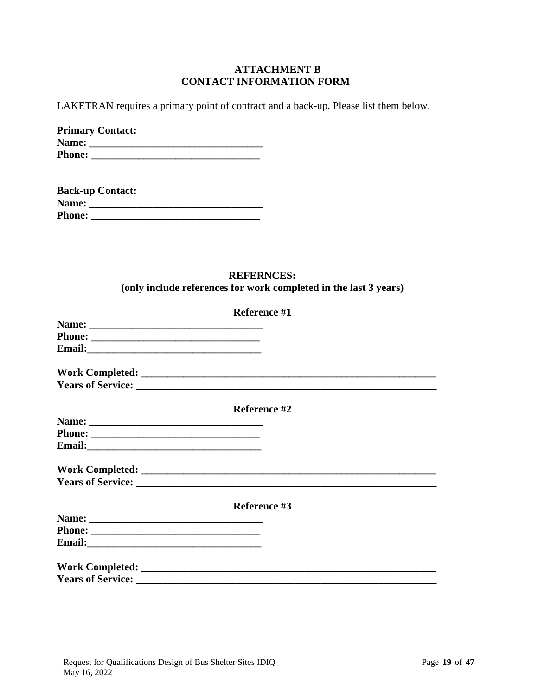#### **ATTACHMENT B CONTACT INFORMATION FORM**

LAKETRAN requires a primary point of contract and a back-up. Please list them below.

|               | <b>Primary Contact:</b> |
|---------------|-------------------------|
| Name:         |                         |
| <b>Phone:</b> |                         |

|               | <b>Back-up Contact:</b> |
|---------------|-------------------------|
| Name:         |                         |
| <b>Phone:</b> |                         |

# **REFERNCES: (only include references for work completed in the last 3 years)**

|                                                                                                                                                                                                                                      | Reference #1 |  |
|--------------------------------------------------------------------------------------------------------------------------------------------------------------------------------------------------------------------------------------|--------------|--|
|                                                                                                                                                                                                                                      |              |  |
|                                                                                                                                                                                                                                      |              |  |
| Email: <u>Department of the contract of the contract of the contract of the contract of the contract of the contract of the contract of the contract of the contract of the contract of the contract of the contract of the cont</u> |              |  |
|                                                                                                                                                                                                                                      |              |  |
|                                                                                                                                                                                                                                      |              |  |
|                                                                                                                                                                                                                                      | Reference #2 |  |
|                                                                                                                                                                                                                                      |              |  |
|                                                                                                                                                                                                                                      |              |  |
|                                                                                                                                                                                                                                      |              |  |
|                                                                                                                                                                                                                                      |              |  |
|                                                                                                                                                                                                                                      |              |  |
|                                                                                                                                                                                                                                      | Reference #3 |  |
|                                                                                                                                                                                                                                      |              |  |
|                                                                                                                                                                                                                                      |              |  |
|                                                                                                                                                                                                                                      |              |  |
|                                                                                                                                                                                                                                      |              |  |
|                                                                                                                                                                                                                                      |              |  |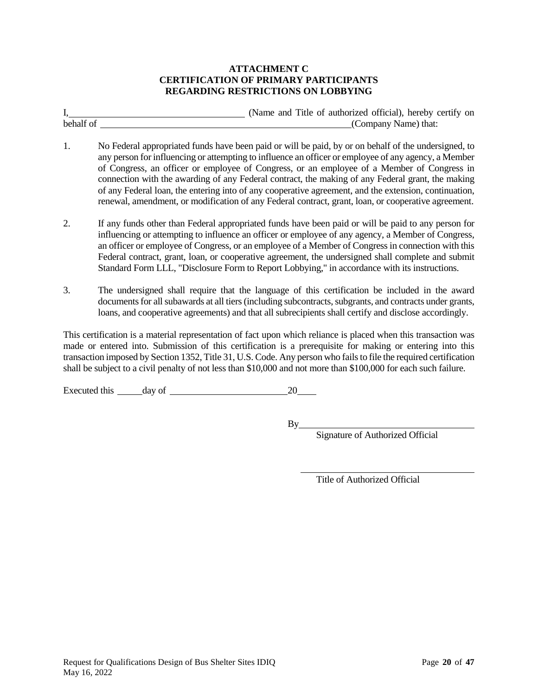#### **ATTACHMENT C CERTIFICATION OF PRIMARY PARTICIPANTS REGARDING RESTRICTIONS ON LOBBYING**

|             | (Name and Title of authorized official), hereby certify on                                                                                                                                                                                                                                                                                                                                                                                                                                                                                                                                                                      |
|-------------|---------------------------------------------------------------------------------------------------------------------------------------------------------------------------------------------------------------------------------------------------------------------------------------------------------------------------------------------------------------------------------------------------------------------------------------------------------------------------------------------------------------------------------------------------------------------------------------------------------------------------------|
| behalf of _ | (Company Name) that:                                                                                                                                                                                                                                                                                                                                                                                                                                                                                                                                                                                                            |
| 1.          | No Federal appropriated funds have been paid or will be paid, by or on behalf of the undersigned, to<br>any person for influencing or attempting to influence an officer or employee of any agency, a Member<br>of Congress, an officer or employee of Congress, or an employee of a Member of Congress in<br>connection with the awarding of any Federal contract, the making of any Federal grant, the making<br>of any Federal loan, the entering into of any cooperative agreement, and the extension, continuation,<br>renewal, amendment, or modification of any Federal contract, grant, loan, or cooperative agreement. |
| 2.          | If any funds other than Federal appropriated funds have been paid or will be paid to any person for<br>influencing or attempting to influence an officer or employee of any agency, a Member of Congress,<br>an officer or employee of Congress, or an employee of a Member of Congress in connection with this<br>Federal contract, grant, loan, or cooperative agreement, the undersigned shall complete and submit<br>Standard Form LLL, "Disclosure Form to Report Lobbying," in accordance with its instructions.                                                                                                          |
| 3.          | The undersigned shall require that the language of this certification be included in the award<br>documents for all subawards at all tiers (including subcontracts, subgrants, and contracts under grants,<br>loans, and cooperative agreements) and that all subrecipients shall certify and disclose accordingly.                                                                                                                                                                                                                                                                                                             |
|             | This certification is a material representation of fact upon which reliance is placed when this transaction was<br>made or entered into. Submission of this certification is a prerequisite for making or entering into this<br>transaction imposed by Section 1352, Title 31, U.S. Code. Any person who fails to file the required certification                                                                                                                                                                                                                                                                               |

shall be subject to a civil penalty of not less than \$10,000 and not more than \$100,000 for each such failure.

Executed this  $\_\_\_\_\$  day of  $\_\_\_\_\_\_\_\_$  20  $\_\_\_\_\_$ 

 $By$ <sub>—</sub>

Signature of Authorized Official

Title of Authorized Official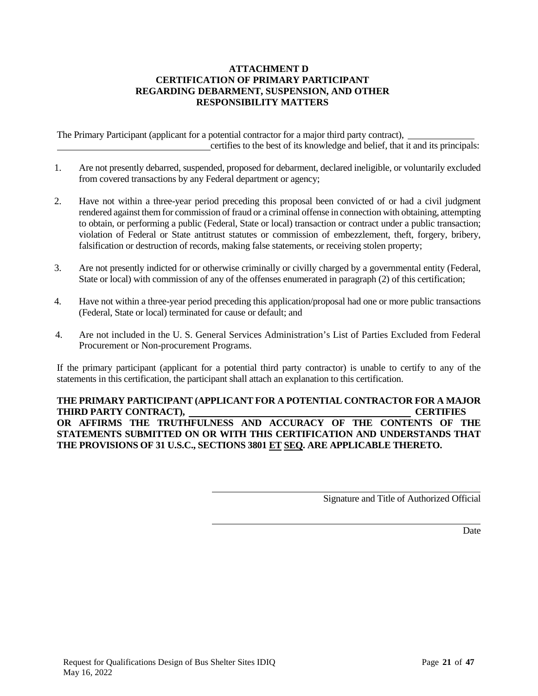#### **ATTACHMENT D CERTIFICATION OF PRIMARY PARTICIPANT REGARDING DEBARMENT, SUSPENSION, AND OTHER RESPONSIBILITY MATTERS**

The Primary Participant (applicant for a potential contractor for a major third party contract), certifies to the best of its knowledge and belief, that it and its principals:

- 1. Are not presently debarred, suspended, proposed for debarment, declared ineligible, or voluntarily excluded from covered transactions by any Federal department or agency;
- 2. Have not within a three-year period preceding this proposal been convicted of or had a civil judgment rendered against them for commission of fraud or a criminal offense in connection with obtaining, attempting to obtain, or performing a public (Federal, State or local) transaction or contract under a public transaction; violation of Federal or State antitrust statutes or commission of embezzlement, theft, forgery, bribery, falsification or destruction of records, making false statements, or receiving stolen property;
- 3. Are not presently indicted for or otherwise criminally or civilly charged by a governmental entity (Federal, State or local) with commission of any of the offenses enumerated in paragraph (2) of this certification;
- 4. Have not within a three-year period preceding this application/proposal had one or more public transactions (Federal, State or local) terminated for cause or default; and
- 4. Are not included in the U. S. General Services Administration's List of Parties Excluded from Federal Procurement or Non-procurement Programs.

If the primary participant (applicant for a potential third party contractor) is unable to certify to any of the statements in this certification, the participant shall attach an explanation to this certification.

#### **THE PRIMARY PARTICIPANT (APPLICANT FOR A POTENTIAL CONTRACTOR FOR A MAJOR THIRD PARTY CONTRACT), CERTIFIES OR AFFIRMS THE TRUTHFULNESS AND ACCURACY OF THE CONTENTS OF THE STATEMENTS SUBMITTED ON OR WITH THIS CERTIFICATION AND UNDERSTANDS THAT THE PROVISIONS OF 31 U.S.C., SECTIONS 3801 ET SEQ. ARE APPLICABLE THERETO.**

Signature and Title of Authorized Official

Date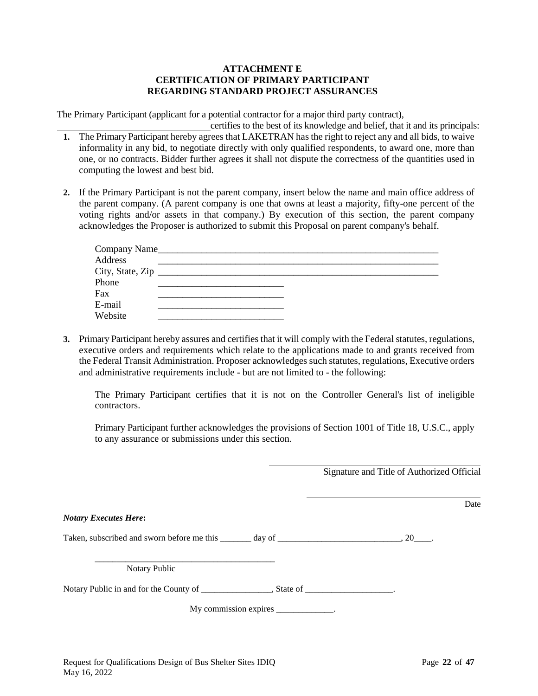#### **ATTACHMENT E CERTIFICATION OF PRIMARY PARTICIPANT REGARDING STANDARD PROJECT ASSURANCES**

The Primary Participant (applicant for a potential contractor for a major third party contract),

- certifies to the best of its knowledge and belief, that it and its principals: **1.** The Primary Participant hereby agrees that LAKETRAN has the right to reject any and all bids, to waive informality in any bid, to negotiate directly with only qualified respondents, to award one, more than one, or no contracts. Bidder further agrees it shall not dispute the correctness of the quantities used in computing the lowest and best bid.
- **2.** If the Primary Participant is not the parent company, insert below the name and main office address of the parent company. (A parent company is one that owns at least a majority, fifty-one percent of the voting rights and/or assets in that company.) By execution of this section, the parent company acknowledges the Proposer is authorized to submit this Proposal on parent company's behalf.

| Address |  |  |  |
|---------|--|--|--|
|         |  |  |  |
| Phone   |  |  |  |
| Fax     |  |  |  |
| E-mail  |  |  |  |
| Website |  |  |  |

**3.** Primary Participant hereby assures and certifies that it will comply with the Federal statutes, regulations, executive orders and requirements which relate to the applications made to and grants received from the Federal Transit Administration. Proposer acknowledges such statutes, regulations, Executive orders and administrative requirements include - but are not limited to - the following:

The Primary Participant certifies that it is not on the Controller General's list of ineligible contractors.

Primary Participant further acknowledges the provisions of Section 1001 of Title 18, U.S.C., apply to any assurance or submissions under this section.

Signature and Title of Authorized Official

|                                                                                                                                                                                                                                                                                    | Date |
|------------------------------------------------------------------------------------------------------------------------------------------------------------------------------------------------------------------------------------------------------------------------------------|------|
| <b>Notary Executes Here:</b>                                                                                                                                                                                                                                                       |      |
| Taken, subscribed and sworn before me this $\frac{1}{2}$ day of $\frac{1}{2}$ and $\frac{1}{2}$ and $\frac{1}{2}$ and $\frac{1}{2}$ and $\frac{1}{2}$ and $\frac{1}{2}$ and $\frac{1}{2}$ and $\frac{1}{2}$ and $\frac{1}{2}$ and $\frac{1}{2}$ and $\frac{1}{2}$ and $\frac{1}{2$ |      |
| Notary Public                                                                                                                                                                                                                                                                      |      |
|                                                                                                                                                                                                                                                                                    |      |
| My commission expires _____________.                                                                                                                                                                                                                                               |      |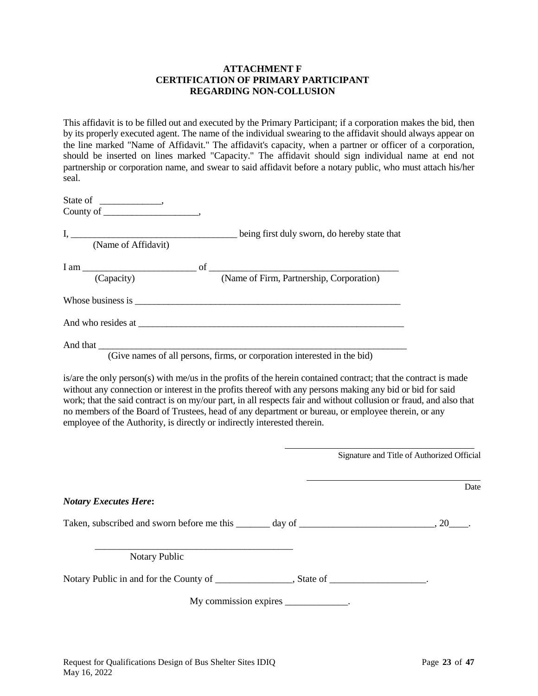#### **ATTACHMENT F CERTIFICATION OF PRIMARY PARTICIPANT REGARDING NON-COLLUSION**

This affidavit is to be filled out and executed by the Primary Participant; if a corporation makes the bid, then by its properly executed agent. The name of the individual swearing to the affidavit should always appear on the line marked "Name of Affidavit." The affidavit's capacity, when a partner or officer of a corporation, should be inserted on lines marked "Capacity." The affidavit should sign individual name at end not partnership or corporation name, and swear to said affidavit before a notary public, who must attach his/her seal.

| (Name of Affidavit)                                                                                                                                                                                                            | being first duly sworn, do hereby state that                                                            |
|--------------------------------------------------------------------------------------------------------------------------------------------------------------------------------------------------------------------------------|---------------------------------------------------------------------------------------------------------|
| (Capacity)                                                                                                                                                                                                                     | $I$ am $\_\_\_\_\_\_\_\_\_\_$ of $\_\_\_\_\_\_\_\_\_\_\_\_$<br>(Name of Firm, Partnership, Corporation) |
| Whose business is which is a set of the set of the set of the set of the set of the set of the set of the set of the set of the set of the set of the set of the set of the set of the set of the set of the set of the set of |                                                                                                         |
|                                                                                                                                                                                                                                |                                                                                                         |
|                                                                                                                                                                                                                                | (Give names of all persons, firms, or corporation interested in the bid)                                |

is/are the only person(s) with me/us in the profits of the herein contained contract; that the contract is made without any connection or interest in the profits thereof with any persons making any bid or bid for said work; that the said contract is on my/our part, in all respects fair and without collusion or fraud, and also that no members of the Board of Trustees, head of any department or bureau, or employee therein, or any employee of the Authority, is directly or indirectly interested therein.

|                              |                                      | Signature and Title of Authorized Official |  |
|------------------------------|--------------------------------------|--------------------------------------------|--|
|                              |                                      | Date                                       |  |
| <b>Notary Executes Here:</b> |                                      |                                            |  |
|                              |                                      |                                            |  |
| Notary Public                |                                      |                                            |  |
|                              |                                      |                                            |  |
|                              | My commission expires _____________. |                                            |  |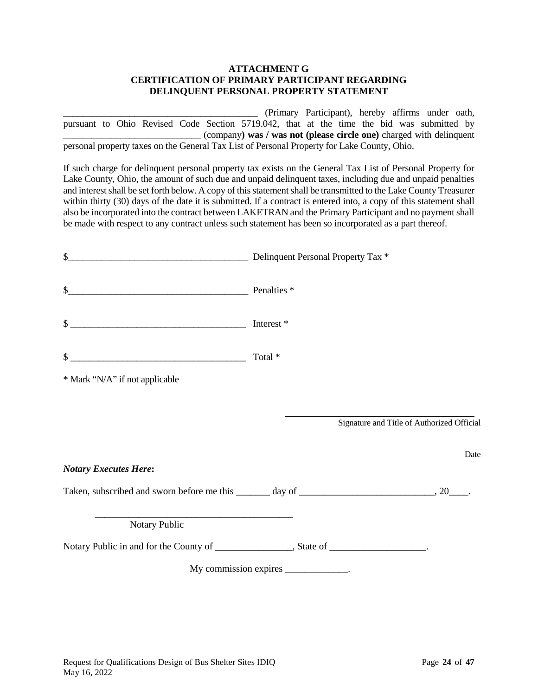#### **ATTACHMENT G CERTIFICATION OF PRIMARY PARTICIPANT REGARDING DELINQUENT PERSONAL PROPERTY STATEMENT**

\_\_\_\_\_\_\_\_\_\_\_\_\_\_\_\_\_\_\_\_\_\_\_\_\_\_\_\_\_\_\_\_\_\_\_\_\_\_\_\_\_ (Primary Participant), hereby affirms under oath, pursuant to Ohio Revised Code Section 5719.042, that at the time the bid was submitted by \_\_\_\_\_\_\_\_\_\_\_\_\_\_\_\_\_\_\_\_\_\_\_\_\_\_\_\_\_ (company**) was / was not (please circle one)** charged with delinquent personal property taxes on the General Tax List of Personal Property for Lake County, Ohio.

If such charge for delinquent personal property tax exists on the General Tax List of Personal Property for Lake County, Ohio, the amount of such due and unpaid delinquent taxes, including due and unpaid penalties and interest shall be set forth below. A copy of this statement shall be transmitted to the Lake County Treasurer within thirty (30) days of the date it is submitted. If a contract is entered into, a copy of this statement shall also be incorporated into the contract between LAKETRAN and the Primary Participant and no payment shall be made with respect to any contract unless such statement has been so incorporated as a part thereof.

| \$<br>Delinquent Personal Property Tax *                                                                   |                                            |      |
|------------------------------------------------------------------------------------------------------------|--------------------------------------------|------|
| \$<br>Penalties *                                                                                          |                                            |      |
| \$<br><u> 2002 - Jan James James Barnett, amerikansk politik (d. 1878)</u>                                 | Interest *                                 |      |
| \$<br><u> 1989 - Johann John Stein, mars an deus Amerikaansk kommunister (</u>                             | Total *                                    |      |
| * Mark "N/A" if not applicable                                                                             |                                            |      |
|                                                                                                            |                                            |      |
|                                                                                                            | Signature and Title of Authorized Official |      |
|                                                                                                            |                                            | Date |
| <b>Notary Executes Here:</b>                                                                               |                                            |      |
|                                                                                                            |                                            |      |
| the control of the control of the control of the control of the control of the control of<br>Notary Public |                                            |      |
|                                                                                                            |                                            |      |
|                                                                                                            | My commission expires _____________.       |      |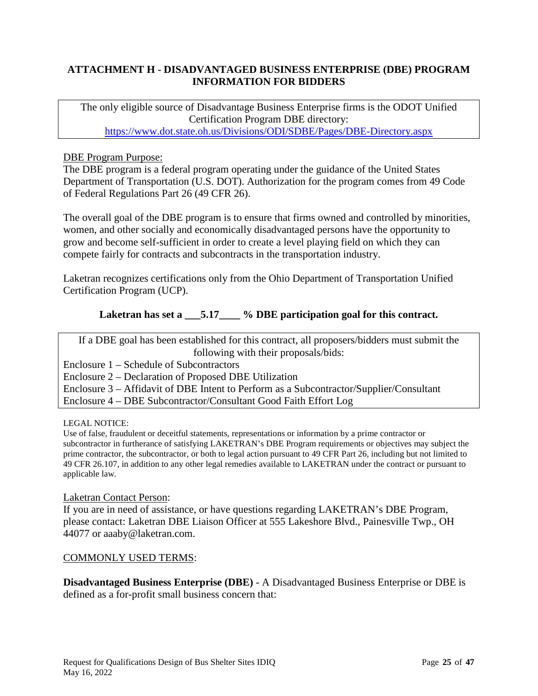# **ATTACHMENT H - DISADVANTAGED BUSINESS ENTERPRISE (DBE) PROGRAM INFORMATION FOR BIDDERS**

The only eligible source of Disadvantage Business Enterprise firms is the ODOT Unified Certification Program DBE directory: <https://www.dot.state.oh.us/Divisions/ODI/SDBE/Pages/DBE-Directory.aspx>

### DBE Program Purpose:

The DBE program is a federal program operating under the guidance of the United States Department of Transportation (U.S. DOT). Authorization for the program comes from 49 Code of Federal Regulations Part 26 (49 CFR 26).

The overall goal of the DBE program is to ensure that firms owned and controlled by minorities, women, and other socially and economically disadvantaged persons have the opportunity to grow and become self-sufficient in order to create a level playing field on which they can compete fairly for contracts and subcontracts in the transportation industry.

Laketran recognizes certifications only from the Ohio Department of Transportation Unified Certification Program (UCP).

# Laketran has set a  $\overline{5.17}$  % DBE participation goal for this contract.

If a DBE goal has been established for this contract, all proposers/bidders must submit the following with their proposals/bids:

Enclosure 1 – Schedule of Subcontractors

Enclosure 2 – Declaration of Proposed DBE Utilization

Enclosure 3 – Affidavit of DBE Intent to Perform as a Subcontractor/Supplier/Consultant

Enclosure 4 – DBE Subcontractor/Consultant Good Faith Effort Log

#### LEGAL NOTICE:

Use of false, fraudulent or deceitful statements, representations or information by a prime contractor or subcontractor in furtherance of satisfying LAKETRAN's DBE Program requirements or objectives may subject the prime contractor, the subcontractor, or both to legal action pursuant to 49 CFR Part 26, including but not limited to 49 CFR 26.107, in addition to any other legal remedies available to LAKETRAN under the contract or pursuant to applicable law.

#### Laketran Contact Person:

If you are in need of assistance, or have questions regarding LAKETRAN's DBE Program, please contact: Laketran DBE Liaison Officer at 555 Lakeshore Blvd., Painesville Twp., OH 44077 or aaaby@laketran.com.

#### COMMONLY USED TERMS:

**Disadvantaged Business Enterprise (DBE)** - A Disadvantaged Business Enterprise or DBE is defined as a for-profit small business concern that: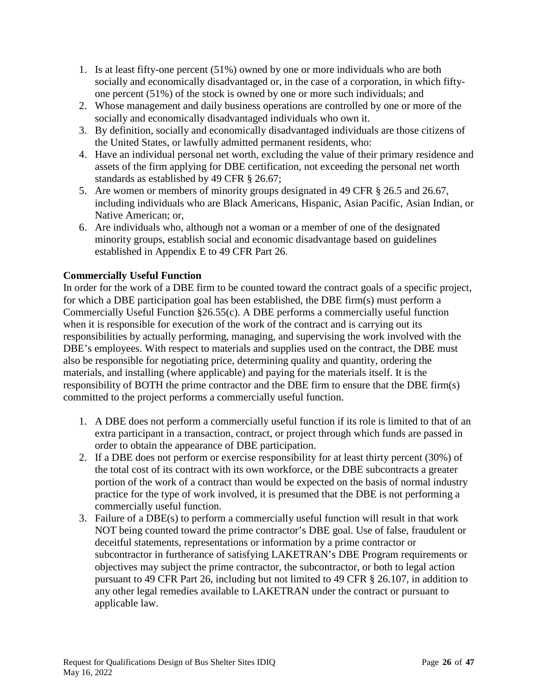- 1. Is at least fifty-one percent (51%) owned by one or more individuals who are both socially and economically disadvantaged or, in the case of a corporation, in which fiftyone percent (51%) of the stock is owned by one or more such individuals; and
- 2. Whose management and daily business operations are controlled by one or more of the socially and economically disadvantaged individuals who own it.
- 3. By definition, socially and economically disadvantaged individuals are those citizens of the United States, or lawfully admitted permanent residents, who:
- 4. Have an individual personal net worth, excluding the value of their primary residence and assets of the firm applying for DBE certification, not exceeding the personal net worth standards as established by 49 CFR § 26.67;
- 5. Are women or members of minority groups designated in 49 CFR § 26.5 and 26.67, including individuals who are Black Americans, Hispanic, Asian Pacific, Asian Indian, or Native American; or,
- 6. Are individuals who, although not a woman or a member of one of the designated minority groups, establish social and economic disadvantage based on guidelines established in Appendix E to 49 CFR Part 26.

# **Commercially Useful Function**

In order for the work of a DBE firm to be counted toward the contract goals of a specific project, for which a DBE participation goal has been established, the DBE firm(s) must perform a Commercially Useful Function §26.55(c). A DBE performs a commercially useful function when it is responsible for execution of the work of the contract and is carrying out its responsibilities by actually performing, managing, and supervising the work involved with the DBE's employees. With respect to materials and supplies used on the contract, the DBE must also be responsible for negotiating price, determining quality and quantity, ordering the materials, and installing (where applicable) and paying for the materials itself. It is the responsibility of BOTH the prime contractor and the DBE firm to ensure that the DBE firm(s) committed to the project performs a commercially useful function.

- 1. A DBE does not perform a commercially useful function if its role is limited to that of an extra participant in a transaction, contract, or project through which funds are passed in order to obtain the appearance of DBE participation.
- 2. If a DBE does not perform or exercise responsibility for at least thirty percent (30%) of the total cost of its contract with its own workforce, or the DBE subcontracts a greater portion of the work of a contract than would be expected on the basis of normal industry practice for the type of work involved, it is presumed that the DBE is not performing a commercially useful function.
- 3. Failure of a DBE(s) to perform a commercially useful function will result in that work NOT being counted toward the prime contractor's DBE goal. Use of false, fraudulent or deceitful statements, representations or information by a prime contractor or subcontractor in furtherance of satisfying LAKETRAN's DBE Program requirements or objectives may subject the prime contractor, the subcontractor, or both to legal action pursuant to 49 CFR Part 26, including but not limited to 49 CFR § 26.107, in addition to any other legal remedies available to LAKETRAN under the contract or pursuant to applicable law.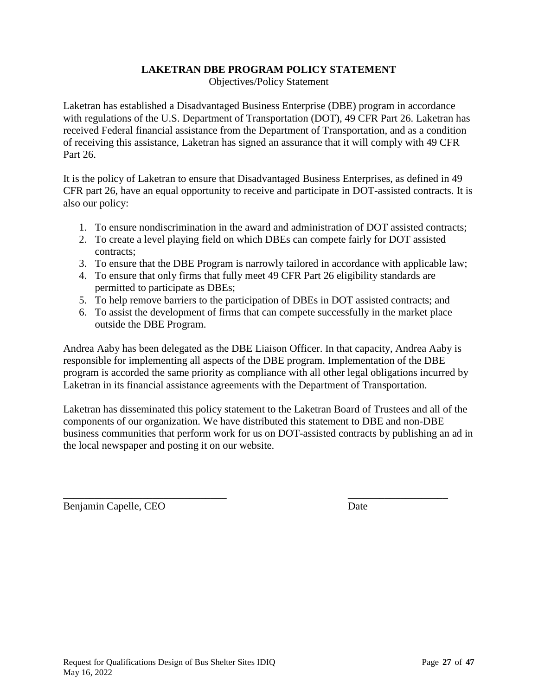# **LAKETRAN DBE PROGRAM POLICY STATEMENT**

Objectives/Policy Statement

Laketran has established a Disadvantaged Business Enterprise (DBE) program in accordance with regulations of the U.S. Department of Transportation (DOT), 49 CFR Part 26. Laketran has received Federal financial assistance from the Department of Transportation, and as a condition of receiving this assistance, Laketran has signed an assurance that it will comply with 49 CFR Part 26.

It is the policy of Laketran to ensure that Disadvantaged Business Enterprises, as defined in 49 CFR part 26, have an equal opportunity to receive and participate in DOT-assisted contracts. It is also our policy:

- 1. To ensure nondiscrimination in the award and administration of DOT assisted contracts;
- 2. To create a level playing field on which DBEs can compete fairly for DOT assisted contracts;
- 3. To ensure that the DBE Program is narrowly tailored in accordance with applicable law;
- 4. To ensure that only firms that fully meet 49 CFR Part 26 eligibility standards are permitted to participate as DBEs;
- 5. To help remove barriers to the participation of DBEs in DOT assisted contracts; and
- 6. To assist the development of firms that can compete successfully in the market place outside the DBE Program.

Andrea Aaby has been delegated as the DBE Liaison Officer. In that capacity, Andrea Aaby is responsible for implementing all aspects of the DBE program. Implementation of the DBE program is accorded the same priority as compliance with all other legal obligations incurred by Laketran in its financial assistance agreements with the Department of Transportation.

Laketran has disseminated this policy statement to the Laketran Board of Trustees and all of the components of our organization. We have distributed this statement to DBE and non-DBE business communities that perform work for us on DOT-assisted contracts by publishing an ad in the local newspaper and posting it on our website.

\_\_\_\_\_\_\_\_\_\_\_\_\_\_\_\_\_\_\_\_\_\_\_\_\_\_\_\_\_\_\_ \_\_\_\_\_\_\_\_\_\_\_\_\_\_\_\_\_\_\_ Benjamin Capelle, CEO Date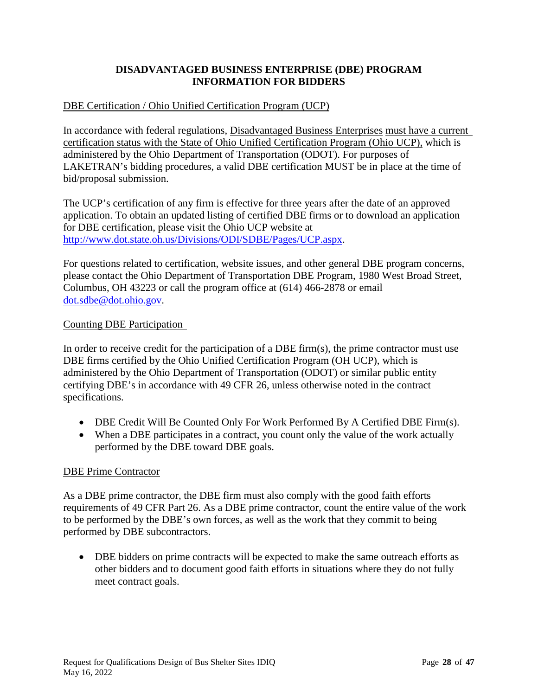# **DISADVANTAGED BUSINESS ENTERPRISE (DBE) PROGRAM INFORMATION FOR BIDDERS**

# DBE Certification / Ohio Unified Certification Program (UCP)

In accordance with federal regulations, Disadvantaged Business Enterprises must have a current certification status with the State of Ohio Unified Certification Program (Ohio UCP), which is administered by the Ohio Department of Transportation (ODOT). For purposes of LAKETRAN's bidding procedures, a valid DBE certification MUST be in place at the time of bid/proposal submission.

The UCP's certification of any firm is effective for three years after the date of an approved application. To obtain an updated listing of certified DBE firms or to download an application for DBE certification, please visit the Ohio UCP website at [http://www.dot.state.oh.us/Divisions/ODI/SDBE/Pages/UCP.aspx.](http://www.dot.state.oh.us/Divisions/ODI/SDBE/Pages/UCP.aspx)

For questions related to certification, website issues, and other general DBE program concerns, please contact the Ohio Department of Transportation DBE Program, 1980 West Broad Street, Columbus, OH 43223 or call the program office at (614) 466-2878 or email [dot.sdbe@dot.ohio.gov.](mailto:dot.sdbe@dot.ohio.gov)

### Counting DBE Participation

In order to receive credit for the participation of a DBE firm(s), the prime contractor must use DBE firms certified by the Ohio Unified Certification Program (OH UCP), which is administered by the Ohio Department of Transportation (ODOT) or similar public entity certifying DBE's in accordance with 49 CFR 26, unless otherwise noted in the contract specifications.

- DBE Credit Will Be Counted Only For Work Performed By A Certified DBE Firm(s).
- When a DBE participates in a contract, you count only the value of the work actually performed by the DBE toward DBE goals.

#### DBE Prime Contractor

As a DBE prime contractor, the DBE firm must also comply with the good faith efforts requirements of 49 CFR Part 26. As a DBE prime contractor, count the entire value of the work to be performed by the DBE's own forces, as well as the work that they commit to being performed by DBE subcontractors.

• DBE bidders on prime contracts will be expected to make the same outreach efforts as other bidders and to document good faith efforts in situations where they do not fully meet contract goals.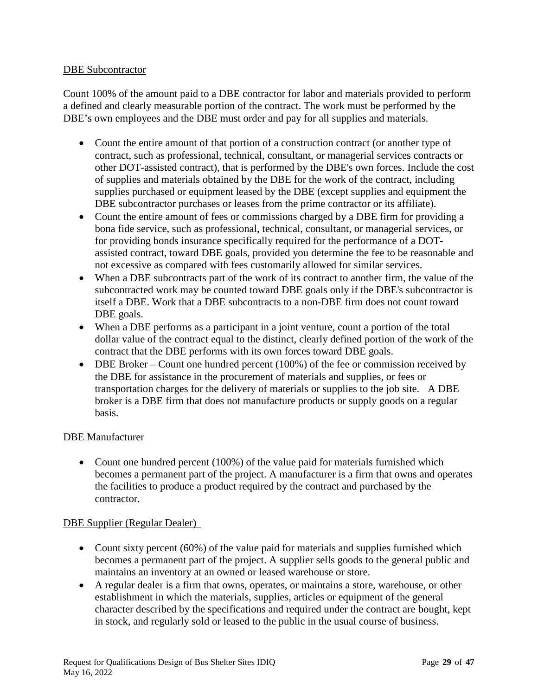### DBE Subcontractor

Count 100% of the amount paid to a DBE contractor for labor and materials provided to perform a defined and clearly measurable portion of the contract. The work must be performed by the DBE's own employees and the DBE must order and pay for all supplies and materials.

- Count the entire amount of that portion of a construction contract (or another type of contract, such as professional, technical, consultant, or managerial services contracts or other DOT-assisted contract), that is performed by the DBE's own forces. Include the cost of supplies and materials obtained by the DBE for the work of the contract, including supplies purchased or equipment leased by the DBE (except supplies and equipment the DBE subcontractor purchases or leases from the prime contractor or its affiliate).
- Count the entire amount of fees or commissions charged by a DBE firm for providing a bona fide service, such as professional, technical, consultant, or managerial services, or for providing bonds insurance specifically required for the performance of a DOTassisted contract, toward DBE goals, provided you determine the fee to be reasonable and not excessive as compared with fees customarily allowed for similar services.
- When a DBE subcontracts part of the work of its contract to another firm, the value of the subcontracted work may be counted toward DBE goals only if the DBE's subcontractor is itself a DBE. Work that a DBE subcontracts to a non-DBE firm does not count toward DBE goals.
- When a DBE performs as a participant in a joint venture, count a portion of the total dollar value of the contract equal to the distinct, clearly defined portion of the work of the contract that the DBE performs with its own forces toward DBE goals.
- DBE Broker Count one hundred percent (100%) of the fee or commission received by the DBE for assistance in the procurement of materials and supplies, or fees or transportation charges for the delivery of materials or supplies to the job site. A DBE broker is a DBE firm that does not manufacture products or supply goods on a regular basis.

#### DBE Manufacturer

• Count one hundred percent (100%) of the value paid for materials furnished which becomes a permanent part of the project. A manufacturer is a firm that owns and operates the facilities to produce a product required by the contract and purchased by the contractor.

#### DBE Supplier (Regular Dealer)

- Count sixty percent (60%) of the value paid for materials and supplies furnished which becomes a permanent part of the project. A supplier sells goods to the general public and maintains an inventory at an owned or leased warehouse or store.
- A regular dealer is a firm that owns, operates, or maintains a store, warehouse, or other establishment in which the materials, supplies, articles or equipment of the general character described by the specifications and required under the contract are bought, kept in stock, and regularly sold or leased to the public in the usual course of business.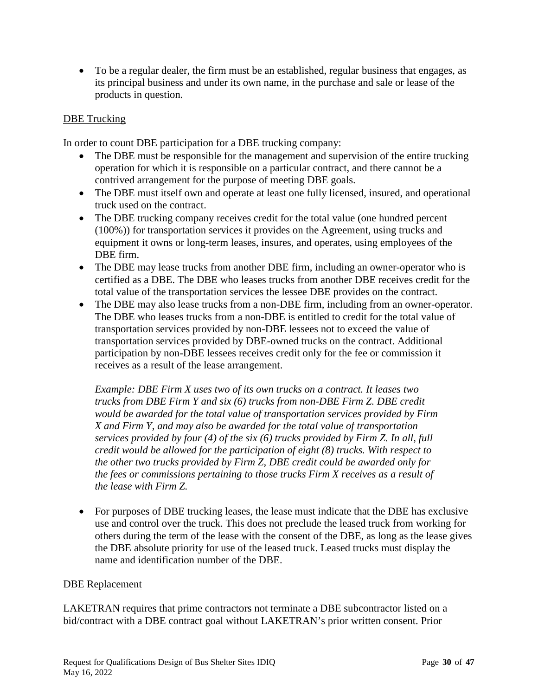• To be a regular dealer, the firm must be an established, regular business that engages, as its principal business and under its own name, in the purchase and sale or lease of the products in question.

### DBE Trucking

In order to count DBE participation for a DBE trucking company:

- The DBE must be responsible for the management and supervision of the entire trucking operation for which it is responsible on a particular contract, and there cannot be a contrived arrangement for the purpose of meeting DBE goals.
- The DBE must itself own and operate at least one fully licensed, insured, and operational truck used on the contract.
- The DBE trucking company receives credit for the total value (one hundred percent (100%)) for transportation services it provides on the Agreement, using trucks and equipment it owns or long-term leases, insures, and operates, using employees of the DBE firm.
- The DBE may lease trucks from another DBE firm, including an owner-operator who is certified as a DBE. The DBE who leases trucks from another DBE receives credit for the total value of the transportation services the lessee DBE provides on the contract.
- The DBE may also lease trucks from a non-DBE firm, including from an owner-operator. The DBE who leases trucks from a non-DBE is entitled to credit for the total value of transportation services provided by non-DBE lessees not to exceed the value of transportation services provided by DBE-owned trucks on the contract. Additional participation by non-DBE lessees receives credit only for the fee or commission it receives as a result of the lease arrangement.

*Example: DBE Firm X uses two of its own trucks on a contract. It leases two trucks from DBE Firm Y and six (6) trucks from non-DBE Firm Z. DBE credit would be awarded for the total value of transportation services provided by Firm X and Firm Y, and may also be awarded for the total value of transportation services provided by four (4) of the six (6) trucks provided by Firm Z. In all, full credit would be allowed for the participation of eight (8) trucks. With respect to the other two trucks provided by Firm Z, DBE credit could be awarded only for the fees or commissions pertaining to those trucks Firm X receives as a result of the lease with Firm Z.*

• For purposes of DBE trucking leases, the lease must indicate that the DBE has exclusive use and control over the truck. This does not preclude the leased truck from working for others during the term of the lease with the consent of the DBE, as long as the lease gives the DBE absolute priority for use of the leased truck. Leased trucks must display the name and identification number of the DBE.

#### DBE Replacement

LAKETRAN requires that prime contractors not terminate a DBE subcontractor listed on a bid/contract with a DBE contract goal without LAKETRAN's prior written consent. Prior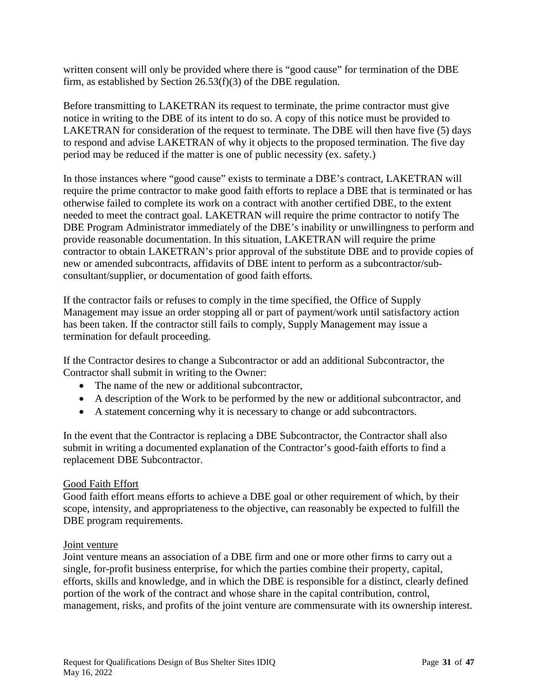written consent will only be provided where there is "good cause" for termination of the DBE firm, as established by Section 26.53(f)(3) of the DBE regulation.

Before transmitting to LAKETRAN its request to terminate, the prime contractor must give notice in writing to the DBE of its intent to do so. A copy of this notice must be provided to LAKETRAN for consideration of the request to terminate. The DBE will then have five (5) days to respond and advise LAKETRAN of why it objects to the proposed termination. The five day period may be reduced if the matter is one of public necessity (ex. safety.)

In those instances where "good cause" exists to terminate a DBE's contract, LAKETRAN will require the prime contractor to make good faith efforts to replace a DBE that is terminated or has otherwise failed to complete its work on a contract with another certified DBE, to the extent needed to meet the contract goal. LAKETRAN will require the prime contractor to notify The DBE Program Administrator immediately of the DBE's inability or unwillingness to perform and provide reasonable documentation. In this situation, LAKETRAN will require the prime contractor to obtain LAKETRAN's prior approval of the substitute DBE and to provide copies of new or amended subcontracts, affidavits of DBE intent to perform as a subcontractor/subconsultant/supplier, or documentation of good faith efforts.

If the contractor fails or refuses to comply in the time specified, the Office of Supply Management may issue an order stopping all or part of payment/work until satisfactory action has been taken. If the contractor still fails to comply, Supply Management may issue a termination for default proceeding.

If the Contractor desires to change a Subcontractor or add an additional Subcontractor, the Contractor shall submit in writing to the Owner:

- The name of the new or additional subcontractor,
- A description of the Work to be performed by the new or additional subcontractor, and
- A statement concerning why it is necessary to change or add subcontractors.

In the event that the Contractor is replacing a DBE Subcontractor, the Contractor shall also submit in writing a documented explanation of the Contractor's good-faith efforts to find a replacement DBE Subcontractor.

#### Good Faith Effort

Good faith effort means efforts to achieve a DBE goal or other requirement of which, by their scope, intensity, and appropriateness to the objective, can reasonably be expected to fulfill the DBE program requirements.

#### Joint venture

Joint venture means an association of a DBE firm and one or more other firms to carry out a single, for-profit business enterprise, for which the parties combine their property, capital, efforts, skills and knowledge, and in which the DBE is responsible for a distinct, clearly defined portion of the work of the contract and whose share in the capital contribution, control, management, risks, and profits of the joint venture are commensurate with its ownership interest.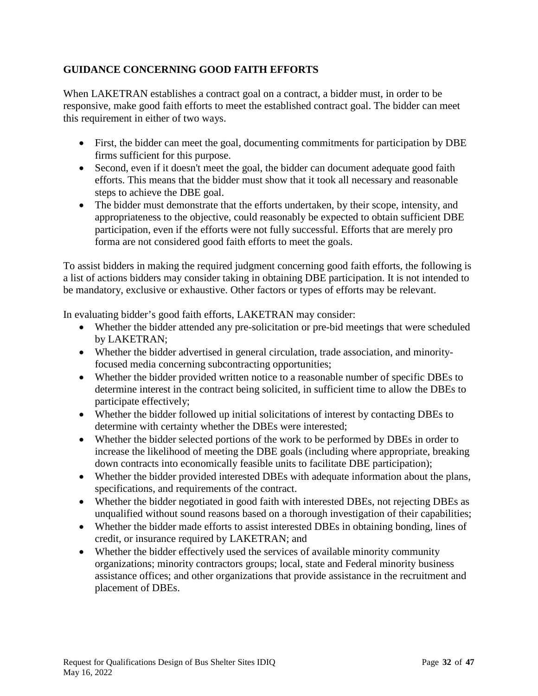# **GUIDANCE CONCERNING GOOD FAITH EFFORTS**

When LAKETRAN establishes a contract goal on a contract, a bidder must, in order to be responsive, make good faith efforts to meet the established contract goal. The bidder can meet this requirement in either of two ways.

- First, the bidder can meet the goal, documenting commitments for participation by DBE firms sufficient for this purpose.
- Second, even if it doesn't meet the goal, the bidder can document adequate good faith efforts. This means that the bidder must show that it took all necessary and reasonable steps to achieve the DBE goal.
- The bidder must demonstrate that the efforts undertaken, by their scope, intensity, and appropriateness to the objective, could reasonably be expected to obtain sufficient DBE participation, even if the efforts were not fully successful. Efforts that are merely pro forma are not considered good faith efforts to meet the goals.

To assist bidders in making the required judgment concerning good faith efforts, the following is a list of actions bidders may consider taking in obtaining DBE participation. It is not intended to be mandatory, exclusive or exhaustive. Other factors or types of efforts may be relevant.

In evaluating bidder's good faith efforts, LAKETRAN may consider:

- Whether the bidder attended any pre-solicitation or pre-bid meetings that were scheduled by LAKETRAN;
- Whether the bidder advertised in general circulation, trade association, and minorityfocused media concerning subcontracting opportunities;
- Whether the bidder provided written notice to a reasonable number of specific DBEs to determine interest in the contract being solicited, in sufficient time to allow the DBEs to participate effectively;
- Whether the bidder followed up initial solicitations of interest by contacting DBEs to determine with certainty whether the DBEs were interested;
- Whether the bidder selected portions of the work to be performed by DBEs in order to increase the likelihood of meeting the DBE goals (including where appropriate, breaking down contracts into economically feasible units to facilitate DBE participation);
- Whether the bidder provided interested DBEs with adequate information about the plans, specifications, and requirements of the contract.
- Whether the bidder negotiated in good faith with interested DBEs, not rejecting DBEs as unqualified without sound reasons based on a thorough investigation of their capabilities;
- Whether the bidder made efforts to assist interested DBEs in obtaining bonding, lines of credit, or insurance required by LAKETRAN; and
- Whether the bidder effectively used the services of available minority community organizations; minority contractors groups; local, state and Federal minority business assistance offices; and other organizations that provide assistance in the recruitment and placement of DBEs.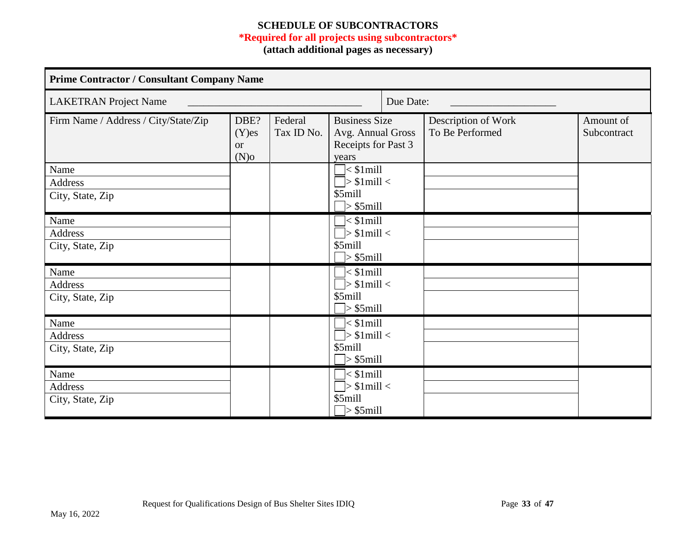# **SCHEDULE OF SUBCONTRACTORS**

# **\*Required for all projects using subcontractors\***

**(attach additional pages as necessary)**

| <b>Prime Contractor / Consultant Company Name</b> |                                          |                       |                                                                                                                  |           |                                        |                          |  |
|---------------------------------------------------|------------------------------------------|-----------------------|------------------------------------------------------------------------------------------------------------------|-----------|----------------------------------------|--------------------------|--|
| <b>LAKETRAN Project Name</b>                      |                                          |                       |                                                                                                                  | Due Date: |                                        |                          |  |
| Firm Name / Address / City/State/Zip              | DBE?<br>$(Y)$ es<br><b>or</b><br>$(N)$ o | Federal<br>Tax ID No. | <b>Business Size</b><br>Avg. Annual Gross<br>Receipts for Past 3<br>years                                        |           | Description of Work<br>To Be Performed | Amount of<br>Subcontract |  |
| Name<br><b>Address</b><br>City, State, Zip        |                                          |                       | $\overline{\phantom{a}}$ < \$1 mill<br>$\overline{\rightarrow}$ \$1mill <<br>\$5mill<br>$\triangleright$ \$5mill |           |                                        |                          |  |
| Name<br>Address<br>City, State, Zip               |                                          |                       | $\overline{\phantom{a}}$ < \$1mill<br>$\Box$ > \$1mill <<br>\$5mill<br>$>$ \$5mill                               |           |                                        |                          |  |
| Name<br><b>Address</b><br>City, State, Zip        |                                          |                       | $\overline{\phantom{a}}$ < \$1 mill<br>$\Box$ > \$1mill <<br>\$5mill<br>$\triangleright$ \$5mill                 |           |                                        |                          |  |
| Name<br><b>Address</b><br>City, State, Zip        |                                          |                       | $\overline{\phantom{a}}$ < \$1 mill<br>$\overline{\rightarrow}$ \$1mill <<br>\$5mill<br>$\Rightarrow$ \$5mill    |           |                                        |                          |  |
| Name<br><b>Address</b><br>City, State, Zip        |                                          |                       | $\overline{\phantom{a}}$ < \$1 mill<br>$\triangleright$ \$1mill <<br>\$5mill<br>$\triangleright$ \$5mill         |           |                                        |                          |  |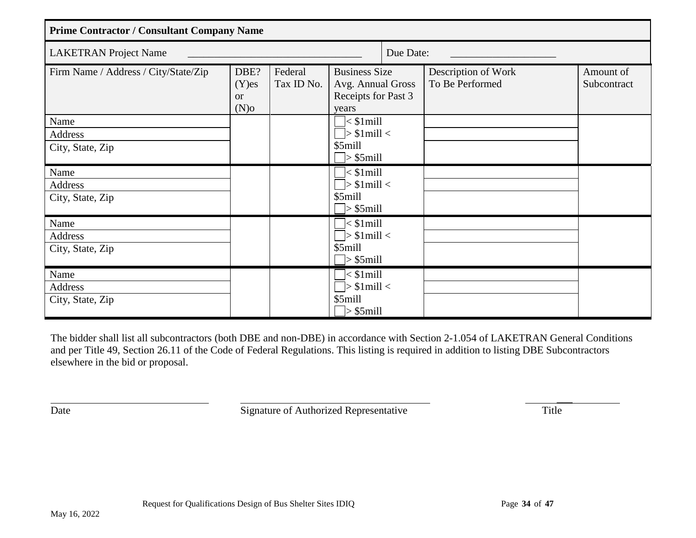| <b>Prime Contractor / Consultant Company Name</b> |                                          |                       |                                                                            |           |                                        |                          |
|---------------------------------------------------|------------------------------------------|-----------------------|----------------------------------------------------------------------------|-----------|----------------------------------------|--------------------------|
| <b>LAKETRAN Project Name</b>                      |                                          |                       |                                                                            | Due Date: |                                        |                          |
| Firm Name / Address / City/State/Zip              | DBE?<br>$(Y)$ es<br><b>or</b><br>$(N)$ o | Federal<br>Tax ID No. | <b>Business Size</b><br>Avg. Annual Gross<br>Receipts for Past 3<br>years  |           | Description of Work<br>To Be Performed | Amount of<br>Subcontract |
| Name<br>Address<br>City, State, Zip               |                                          |                       | $\vert$ < \$1 mill<br>$\Box$ > \$1mill <<br>\$5mill<br>$\Box$ > \$5mill    |           |                                        |                          |
| Name<br>Address<br>City, State, Zip               |                                          |                       | $\Box$ < \$1mill<br>$\Box$ > \$1mill <<br>\$5mill<br>$\Box$ > \$5mill      |           |                                        |                          |
| Name<br>Address<br>City, State, Zip               |                                          |                       | $\Box$ < \$1mill<br>$\Box$ > \$1mill <<br>\$5mill<br>$\Box$ > \$5mill      |           |                                        |                          |
| Name<br>Address<br>City, State, Zip               |                                          |                       | $\Box$ < \$1mill<br>$\Box$ > \$1mill <<br>\$5mill<br>$\Rightarrow$ \$5mill |           |                                        |                          |

The bidder shall list all subcontractors (both DBE and non-DBE) in accordance with Section 2-1.054 of LAKETRAN General Conditions and per Title 49, Section 26.11 of the Code of Federal Regulations. This listing is required in addition to listing DBE Subcontractors elsewhere in the bid or proposal.

Date Signature of Authorized Representative Title

 $\overline{\phantom{a}}$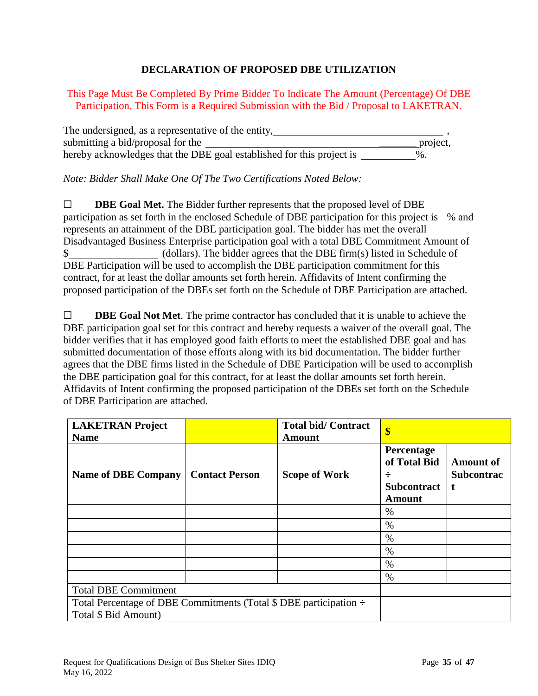# **DECLARATION OF PROPOSED DBE UTILIZATION**

This Page Must Be Completed By Prime Bidder To Indicate The Amount (Percentage) Of DBE Participation. This Form is a Required Submission with the Bid / Proposal to LAKETRAN.

| The undersigned, as a representative of the entity,                   |          |
|-----------------------------------------------------------------------|----------|
| submitting a bid/proposal for the                                     | project. |
| hereby acknowledges that the DBE goal established for this project is | $\%$ .   |

*Note: Bidder Shall Make One Of The Two Certifications Noted Below:*

☐ **DBE Goal Met.** The Bidder further represents that the proposed level of DBE participation as set forth in the enclosed Schedule of DBE participation for this project is % and represents an attainment of the DBE participation goal. The bidder has met the overall Disadvantaged Business Enterprise participation goal with a total DBE Commitment Amount of \$ (dollars). The bidder agrees that the DBE firm(s) listed in Schedule of DBE Participation will be used to accomplish the DBE participation commitment for this contract, for at least the dollar amounts set forth herein. Affidavits of Intent confirming the proposed participation of the DBEs set forth on the Schedule of DBE Participation are attached.

☐ **DBE Goal Not Met**. The prime contractor has concluded that it is unable to achieve the DBE participation goal set for this contract and hereby requests a waiver of the overall goal. The bidder verifies that it has employed good faith efforts to meet the established DBE goal and has submitted documentation of those efforts along with its bid documentation. The bidder further agrees that the DBE firms listed in the Schedule of DBE Participation will be used to accomplish the DBE participation goal for this contract, for at least the dollar amounts set forth herein. Affidavits of Intent confirming the proposed participation of the DBEs set forth on the Schedule of DBE Participation are attached.

| <b>LAKETRAN Project</b><br><b>Name</b>                                                                 |                       | <b>Total bid/Contract</b><br><b>Amount</b> | \$                                                                     |                                            |
|--------------------------------------------------------------------------------------------------------|-----------------------|--------------------------------------------|------------------------------------------------------------------------|--------------------------------------------|
| <b>Name of DBE Company</b>                                                                             | <b>Contact Person</b> | <b>Scope of Work</b>                       | Percentage<br>of Total Bid<br>÷<br><b>Subcontract</b><br><b>Amount</b> | <b>Amount of</b><br><b>Subcontrac</b><br>t |
|                                                                                                        |                       |                                            | $\%$                                                                   |                                            |
|                                                                                                        |                       |                                            | $\%$                                                                   |                                            |
|                                                                                                        |                       |                                            | $\%$                                                                   |                                            |
|                                                                                                        |                       |                                            | $\%$                                                                   |                                            |
|                                                                                                        |                       |                                            | $\%$                                                                   |                                            |
|                                                                                                        |                       |                                            | $\%$                                                                   |                                            |
| <b>Total DBE Commitment</b>                                                                            |                       |                                            |                                                                        |                                            |
| Total Percentage of DBE Commitments (Total $\$\text{DBE}$ participation $\div$<br>Total \$ Bid Amount) |                       |                                            |                                                                        |                                            |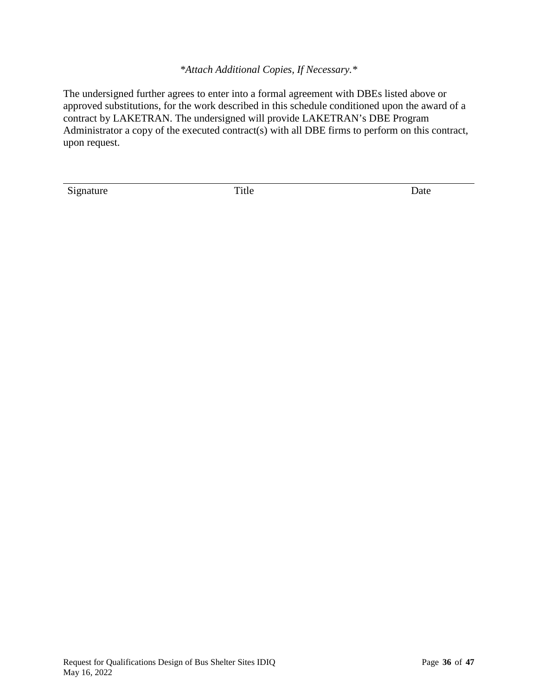*\*Attach Additional Copies, If Necessary.\**

The undersigned further agrees to enter into a formal agreement with DBEs listed above or approved substitutions, for the work described in this schedule conditioned upon the award of a contract by LAKETRAN. The undersigned will provide LAKETRAN's DBE Program Administrator a copy of the executed contract(s) with all DBE firms to perform on this contract, upon request.

Signature Date Title Date

 $\overline{a}$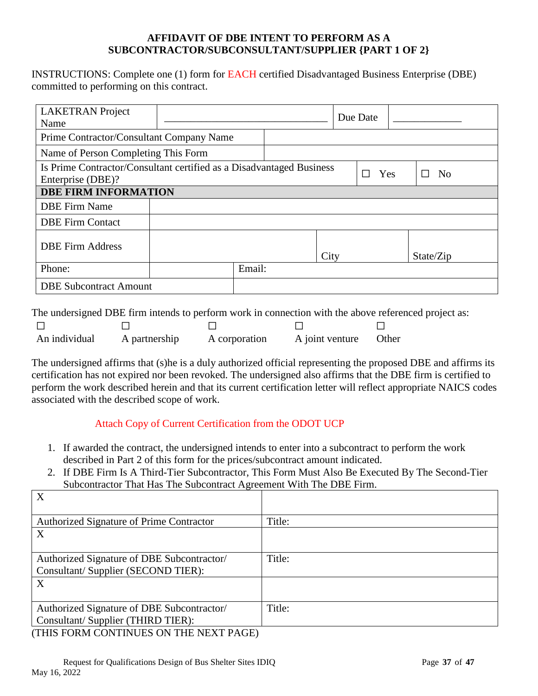#### **AFFIDAVIT OF DBE INTENT TO PERFORM AS A SUBCONTRACTOR/SUBCONSULTANT/SUPPLIER {PART 1 OF 2}**

INSTRUCTIONS: Complete one (1) form for EACH certified Disadvantaged Business Enterprise (DBE) committed to performing on this contract.

| <b>LAKETRAN</b> Project<br>Name                                                           |  |        |      | Due Date              |  |                |
|-------------------------------------------------------------------------------------------|--|--------|------|-----------------------|--|----------------|
| Prime Contractor/Consultant Company Name                                                  |  |        |      |                       |  |                |
| Name of Person Completing This Form                                                       |  |        |      |                       |  |                |
| Is Prime Contractor/Consultant certified as a Disadvantaged Business<br>Enterprise (DBE)? |  |        |      | Yes<br>$\blacksquare$ |  | N <sub>o</sub> |
| <b>DBE FIRM INFORMATION</b>                                                               |  |        |      |                       |  |                |
| <b>DBE</b> Firm Name                                                                      |  |        |      |                       |  |                |
| <b>DBE Firm Contact</b>                                                                   |  |        |      |                       |  |                |
| <b>DBE Firm Address</b>                                                                   |  |        | City |                       |  | State/Zip      |
| Phone:                                                                                    |  | Email: |      |                       |  |                |
| <b>DBE Subcontract Amount</b>                                                             |  |        |      |                       |  |                |

The undersigned DBE firm intends to perform work in connection with the above referenced project as:

| An individual | A partnership | A corporation | A joint venture Other |  |
|---------------|---------------|---------------|-----------------------|--|

The undersigned affirms that (s)he is a duly authorized official representing the proposed DBE and affirms its certification has not expired nor been revoked. The undersigned also affirms that the DBE firm is certified to perform the work described herein and that its current certification letter will reflect appropriate NAICS codes associated with the described scope of work.

# Attach Copy of Current Certification from the ODOT UCP

- 1. If awarded the contract, the undersigned intends to enter into a subcontract to perform the work described in Part 2 of this form for the prices/subcontract amount indicated.
- 2. If DBE Firm Is A Third-Tier Subcontractor, This Form Must Also Be Executed By The Second-Tier Subcontractor That Has The Subcontract Agreement With The DBE Firm.

| X                                            |        |
|----------------------------------------------|--------|
|                                              |        |
| Authorized Signature of Prime Contractor     | Title: |
| X                                            |        |
|                                              |        |
| Authorized Signature of DBE Subcontractor/   | Title: |
| Consultant/Supplier (SECOND TIER):           |        |
| X                                            |        |
|                                              |        |
| Authorized Signature of DBE Subcontractor/   | Title: |
| Consultant/Supplier (THIRD TIER):            |        |
| $\pi$ uk podli contruitre on tur nevto di cr |        |

(THIS FORM CONTINUES ON THE NEXT PAGE)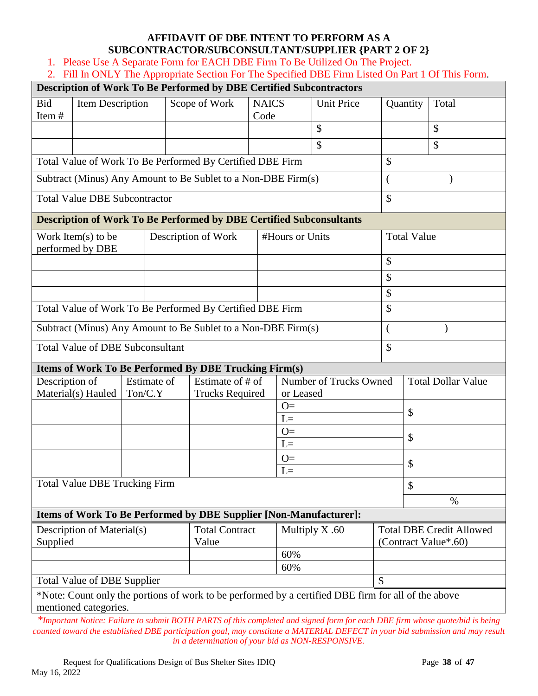# **AFFIDAVIT OF DBE INTENT TO PERFORM AS A SUBCONTRACTOR/SUBCONSULTANT/SUPPLIER {PART 2 OF 2}**

1. Please Use A Separate Form for EACH DBE Firm To Be Utilized On The Project.

|                                                                    |                                                           |                                |                           | Description of Work To Be Performed by DBE Certified Subcontractors        |                      |                   |                                                                                                     |    |                    |       |  |
|--------------------------------------------------------------------|-----------------------------------------------------------|--------------------------------|---------------------------|----------------------------------------------------------------------------|----------------------|-------------------|-----------------------------------------------------------------------------------------------------|----|--------------------|-------|--|
| <b>Bid</b><br>Item#                                                | <b>Item Description</b>                                   |                                |                           | Scope of Work                                                              | <b>NAICS</b><br>Code |                   | <b>Unit Price</b>                                                                                   |    | Quantity           | Total |  |
|                                                                    |                                                           |                                |                           |                                                                            |                      |                   | \$                                                                                                  |    |                    | \$    |  |
|                                                                    |                                                           |                                |                           |                                                                            |                      |                   | \$                                                                                                  |    |                    | \$    |  |
|                                                                    |                                                           |                                |                           | Total Value of Work To Be Performed By Certified DBE Firm                  |                      |                   |                                                                                                     | \$ |                    |       |  |
|                                                                    |                                                           |                                |                           | Subtract (Minus) Any Amount to Be Sublet to a Non-DBE Firm(s)              |                      |                   |                                                                                                     |    |                    |       |  |
|                                                                    | <b>Total Value DBE Subcontractor</b>                      |                                |                           |                                                                            |                      |                   |                                                                                                     | \$ |                    |       |  |
|                                                                    |                                                           |                                |                           | <b>Description of Work To Be Performed by DBE Certified Subconsultants</b> |                      |                   |                                                                                                     |    |                    |       |  |
|                                                                    | Work Item $(s)$ to be<br>performed by DBE                 |                                |                           | Description of Work                                                        |                      | #Hours or Units   |                                                                                                     |    | <b>Total Value</b> |       |  |
|                                                                    |                                                           |                                |                           |                                                                            |                      |                   |                                                                                                     | \$ |                    |       |  |
|                                                                    |                                                           |                                |                           |                                                                            |                      |                   |                                                                                                     | \$ |                    |       |  |
|                                                                    |                                                           |                                |                           |                                                                            |                      |                   |                                                                                                     | \$ |                    |       |  |
|                                                                    |                                                           |                                |                           | Total Value of Work To Be Performed By Certified DBE Firm                  |                      | \$                |                                                                                                     |    |                    |       |  |
| Subtract (Minus) Any Amount to Be Sublet to a Non-DBE Firm(s)<br>€ |                                                           |                                |                           |                                                                            |                      |                   |                                                                                                     |    |                    |       |  |
| <b>Total Value of DBE Subconsultant</b>                            |                                                           |                                |                           |                                                                            | \$                   |                   |                                                                                                     |    |                    |       |  |
| <b>Items of Work To Be Performed By DBE Trucking Firm(s)</b>       |                                                           |                                |                           |                                                                            |                      |                   |                                                                                                     |    |                    |       |  |
| Description of                                                     | Number of Trucks Owned<br>Estimate of<br>Estimate of # of |                                | <b>Total Dollar Value</b> |                                                                            |                      |                   |                                                                                                     |    |                    |       |  |
|                                                                    | Material(s) Hauled                                        | Ton/C.Y                        |                           | <b>Trucks Required</b>                                                     |                      | or Leased<br>$O=$ |                                                                                                     |    |                    |       |  |
|                                                                    |                                                           |                                |                           |                                                                            |                      | $L=$              |                                                                                                     |    | $\mathcal{S}$      |       |  |
|                                                                    |                                                           |                                |                           |                                                                            |                      | $O=$              | $\mathcal{S}$                                                                                       |    |                    |       |  |
|                                                                    |                                                           |                                |                           |                                                                            |                      | $L=$              |                                                                                                     |    |                    |       |  |
|                                                                    |                                                           |                                |                           |                                                                            |                      | $O=$<br>$I =$     |                                                                                                     |    | \$                 |       |  |
|                                                                    | Total Value DBE Trucking Firm                             |                                |                           |                                                                            |                      |                   |                                                                                                     |    | \$                 |       |  |
|                                                                    |                                                           |                                |                           |                                                                            |                      |                   |                                                                                                     |    |                    | $\%$  |  |
|                                                                    |                                                           |                                |                           | Items of Work To Be Performed by DBE Supplier [Non-Manufacturer]:          |                      |                   |                                                                                                     |    |                    |       |  |
| Description of Material(s)<br>Supplied                             |                                                           | <b>Total Contract</b><br>Value |                           | Multiply X.60                                                              |                      |                   | <b>Total DBE Credit Allowed</b><br>(Contract Value*.60)                                             |    |                    |       |  |
|                                                                    |                                                           |                                |                           | 60%                                                                        |                      |                   |                                                                                                     |    |                    |       |  |
|                                                                    |                                                           |                                |                           |                                                                            |                      | 60%               |                                                                                                     |    |                    |       |  |
|                                                                    | <b>Total Value of DBE Supplier</b>                        |                                |                           |                                                                            |                      |                   |                                                                                                     | \$ |                    |       |  |
|                                                                    | mentioned categories.                                     |                                |                           |                                                                            |                      |                   | *Note: Count only the portions of work to be performed by a certified DBE firm for all of the above |    |                    |       |  |

*\*Important Notice: Failure to submit BOTH PARTS of this completed and signed form for each DBE firm whose quote/bid is being counted toward the established DBE participation goal, may constitute a MATERIAL DEFECT in your bid submission and may result in a determination of your bid as NON-RESPONSIVE.*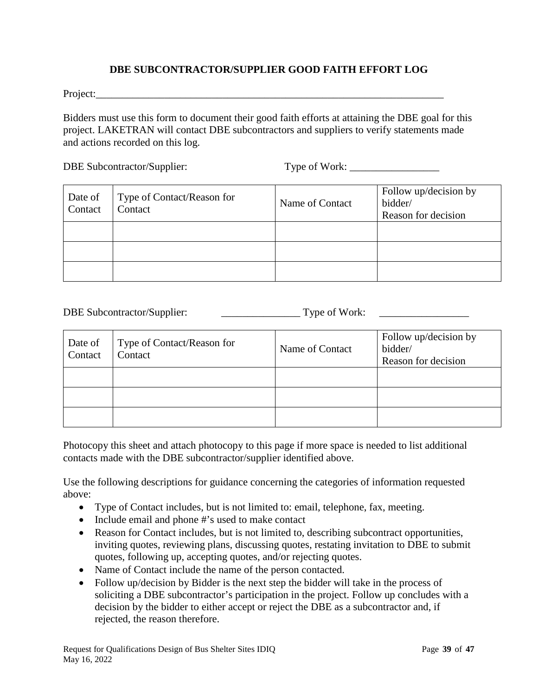### **DBE SUBCONTRACTOR/SUPPLIER GOOD FAITH EFFORT LOG**

Project:

Bidders must use this form to document their good faith efforts at attaining the DBE goal for this project. LAKETRAN will contact DBE subcontractors and suppliers to verify statements made and actions recorded on this log.

DBE Subcontractor/Supplier: Type of Work: \_\_\_\_\_\_\_\_\_\_\_\_\_\_\_\_\_

| Date of<br>Contact | Type of Contact/Reason for<br>Contact | Name of Contact | Follow up/decision by<br>bidder/<br>Reason for decision |  |
|--------------------|---------------------------------------|-----------------|---------------------------------------------------------|--|
|                    |                                       |                 |                                                         |  |
|                    |                                       |                 |                                                         |  |
|                    |                                       |                 |                                                         |  |

DBE Subcontractor/Supplier: \_\_\_\_\_\_\_\_\_\_\_\_\_\_\_ Type of Work: \_\_\_\_\_\_\_\_\_\_\_\_\_\_\_\_\_

| Date of<br>Contact | Type of Contact/Reason for<br>Contact | Name of Contact | Follow up/decision by<br>bidder/<br>Reason for decision |
|--------------------|---------------------------------------|-----------------|---------------------------------------------------------|
|                    |                                       |                 |                                                         |
|                    |                                       |                 |                                                         |
|                    |                                       |                 |                                                         |

Photocopy this sheet and attach photocopy to this page if more space is needed to list additional contacts made with the DBE subcontractor/supplier identified above.

Use the following descriptions for guidance concerning the categories of information requested above:

- Type of Contact includes, but is not limited to: email, telephone, fax, meeting.
- Include email and phone #'s used to make contact
- Reason for Contact includes, but is not limited to, describing subcontract opportunities, inviting quotes, reviewing plans, discussing quotes, restating invitation to DBE to submit quotes, following up, accepting quotes, and/or rejecting quotes.
- Name of Contact include the name of the person contacted.
- Follow up/decision by Bidder is the next step the bidder will take in the process of soliciting a DBE subcontractor's participation in the project. Follow up concludes with a decision by the bidder to either accept or reject the DBE as a subcontractor and, if rejected, the reason therefore.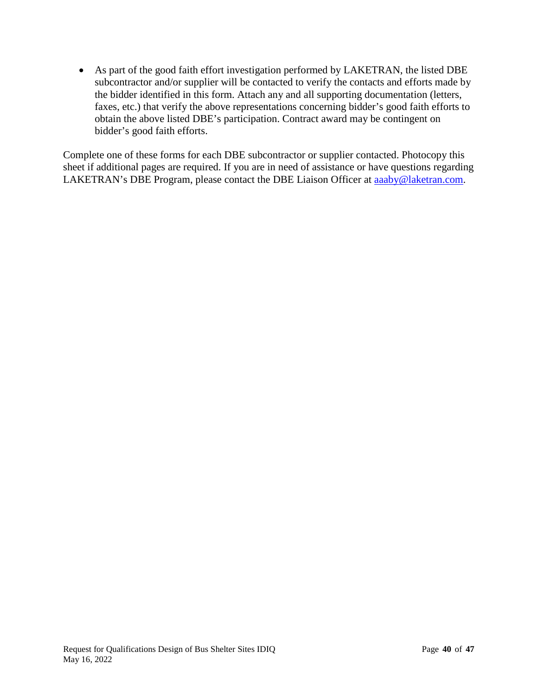• As part of the good faith effort investigation performed by LAKETRAN, the listed DBE subcontractor and/or supplier will be contacted to verify the contacts and efforts made by the bidder identified in this form. Attach any and all supporting documentation (letters, faxes, etc.) that verify the above representations concerning bidder's good faith efforts to obtain the above listed DBE's participation. Contract award may be contingent on bidder's good faith efforts.

Complete one of these forms for each DBE subcontractor or supplier contacted. Photocopy this sheet if additional pages are required. If you are in need of assistance or have questions regarding LAKETRAN's DBE Program, please contact the DBE Liaison Officer at [aaaby@laketran.com.](mailto:aaaby@laketran.com)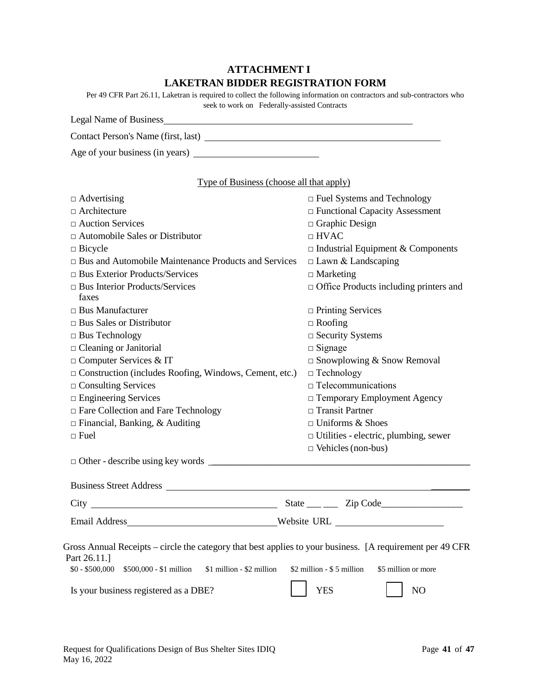# **ATTACHMENT I LAKETRAN BIDDER REGISTRATION FORM**

| Per 49 CFR Part 26.11, Laketran is required to collect the following information on contractors and sub-contractors who |
|-------------------------------------------------------------------------------------------------------------------------|
| seek to work on Federally-assisted Contracts                                                                            |

| Legal Name of Business              |
|-------------------------------------|
| Contact Person's Name (first, last) |
| Age of your business (in years)     |

| Type of Business (choose all that apply) |  |  |
|------------------------------------------|--|--|
|                                          |  |  |

| $\Box$ Advertising                                                                                                        | $\Box$ Fuel Systems and Technology               |  |  |
|---------------------------------------------------------------------------------------------------------------------------|--------------------------------------------------|--|--|
| $\Box$ Architecture                                                                                                       | □ Functional Capacity Assessment                 |  |  |
| $\Box$ Auction Services                                                                                                   | $\Box$ Graphic Design                            |  |  |
| $\Box$ Automobile Sales or Distributor                                                                                    | $\Box$ HVAC                                      |  |  |
| $\Box$ Bicycle                                                                                                            | $\Box$ Industrial Equipment & Components         |  |  |
| $\Box$ Bus and Automobile Maintenance Products and Services                                                               | $\Box$ Lawn & Landscaping                        |  |  |
| $\Box$ Bus Exterior Products/Services                                                                                     | $\Box$ Marketing                                 |  |  |
| $\Box$ Bus Interior Products/Services<br>faxes                                                                            | □ Office Products including printers and         |  |  |
| $\Box$ Bus Manufacturer                                                                                                   | $\Box$ Printing Services                         |  |  |
| $\Box$ Bus Sales or Distributor                                                                                           | $\Box$ Roofing                                   |  |  |
| $\Box$ Bus Technology                                                                                                     | $\Box$ Security Systems                          |  |  |
| □ Cleaning or Janitorial                                                                                                  | $\Box$ Signage                                   |  |  |
| □ Computer Services & IT                                                                                                  | $\square$ Snowplowing & Snow Removal             |  |  |
| $\Box$ Construction (includes Roofing, Windows, Cement, etc.)                                                             | $\Box$ Technology<br>$\Box$ Telecommunications   |  |  |
| $\Box$ Consulting Services                                                                                                |                                                  |  |  |
| $\square$ Engineering Services                                                                                            | □ Temporary Employment Agency                    |  |  |
| □ Fare Collection and Fare Technology                                                                                     | $\Box$ Transit Partner                           |  |  |
| $\Box$ Financial, Banking, & Auditing                                                                                     | $\Box$ Uniforms & Shoes                          |  |  |
| $\Box$ Fuel                                                                                                               | $\Box$ Utilities - electric, plumbing, sewer     |  |  |
|                                                                                                                           | $\Box$ Vehicles (non-bus)                        |  |  |
|                                                                                                                           |                                                  |  |  |
|                                                                                                                           |                                                  |  |  |
|                                                                                                                           |                                                  |  |  |
|                                                                                                                           |                                                  |  |  |
|                                                                                                                           |                                                  |  |  |
| Gross Annual Receipts – circle the category that best applies to your business. [A requirement per 49 CFR<br>Part 26.11.] |                                                  |  |  |
| $$0 - $500,000$ $$500,000 - $1$ million<br>\$1 million - \$2 million                                                      | \$2 million - \$5 million<br>\$5 million or more |  |  |
| Is your business registered as a DBE?                                                                                     | <b>YES</b><br>N <sub>O</sub>                     |  |  |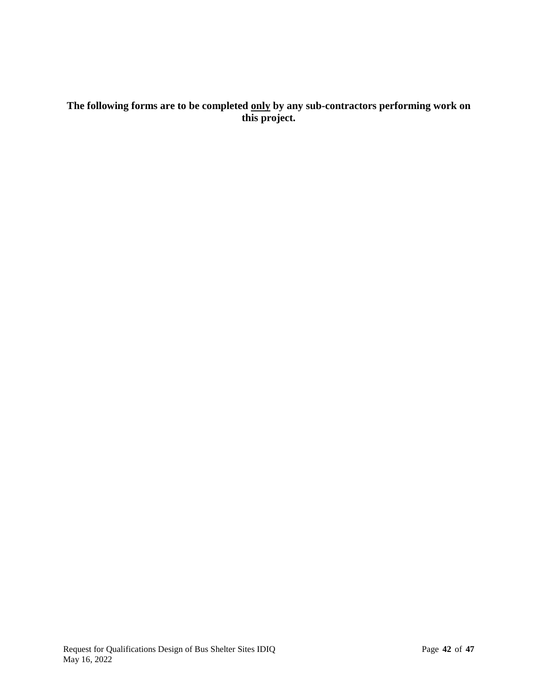# **The following forms are to be completed only by any sub-contractors performing work on this project.**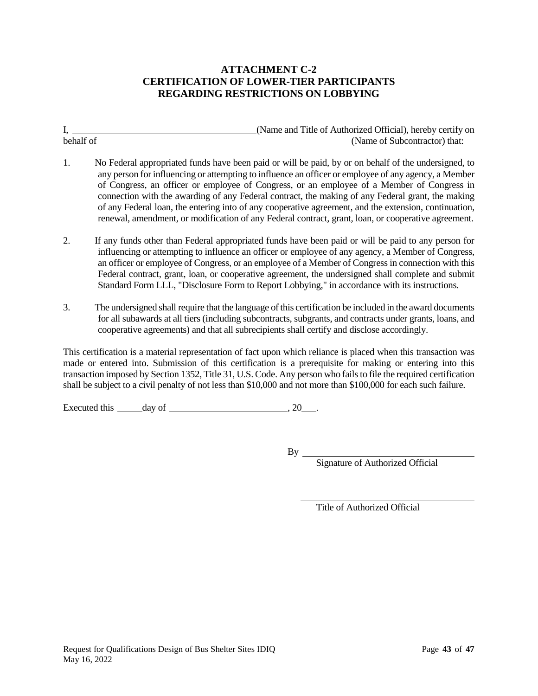### **ATTACHMENT C-2 CERTIFICATION OF LOWER-TIER PARTICIPANTS REGARDING RESTRICTIONS ON LOBBYING**

I, (Name and Title of Authorized Official), hereby certify on (Name of Subcontractor) that:

- 1. No Federal appropriated funds have been paid or will be paid, by or on behalf of the undersigned, to any person for influencing or attempting to influence an officer or employee of any agency, a Member of Congress, an officer or employee of Congress, or an employee of a Member of Congress in connection with the awarding of any Federal contract, the making of any Federal grant, the making of any Federal loan, the entering into of any cooperative agreement, and the extension, continuation, renewal, amendment, or modification of any Federal contract, grant, loan, or cooperative agreement.
- 2. If any funds other than Federal appropriated funds have been paid or will be paid to any person for influencing or attempting to influence an officer or employee of any agency, a Member of Congress, an officer or employee of Congress, or an employee of a Member of Congress in connection with this Federal contract, grant, loan, or cooperative agreement, the undersigned shall complete and submit Standard Form LLL, "Disclosure Form to Report Lobbying," in accordance with its instructions.
- 3. The undersigned shall require that the language of this certification be included in the award documents for all subawards at all tiers (including subcontracts, subgrants, and contracts under grants, loans, and cooperative agreements) and that all subrecipients shall certify and disclose accordingly.

This certification is a material representation of fact upon which reliance is placed when this transaction was made or entered into. Submission of this certification is a prerequisite for making or entering into this transaction imposed by Section 1352, Title 31, U.S. Code. Any person who fails to file the required certification shall be subject to a civil penalty of not less than \$10,000 and not more than \$100,000 for each such failure.

Executed this day of , 20 .

By

Signature of Authorized Official

Title of Authorized Official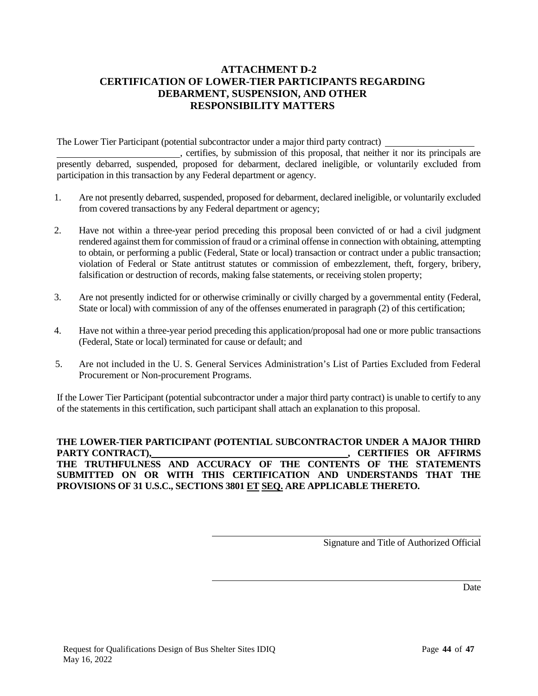### **ATTACHMENT D-2 CERTIFICATION OF LOWER-TIER PARTICIPANTS REGARDING DEBARMENT, SUSPENSION, AND OTHER RESPONSIBILITY MATTERS**

The Lower Tier Participant (potential subcontractor under a major third party contract)

, certifies, by submission of this proposal, that neither it nor its principals are presently debarred, suspended, proposed for debarment, declared ineligible, or voluntarily excluded from participation in this transaction by any Federal department or agency.

- 1. Are not presently debarred, suspended, proposed for debarment, declared ineligible, or voluntarily excluded from covered transactions by any Federal department or agency;
- 2. Have not within a three-year period preceding this proposal been convicted of or had a civil judgment rendered against them for commission of fraud or a criminal offense in connection with obtaining, attempting to obtain, or performing a public (Federal, State or local) transaction or contract under a public transaction; violation of Federal or State antitrust statutes or commission of embezzlement, theft, forgery, bribery, falsification or destruction of records, making false statements, or receiving stolen property;
- 3. Are not presently indicted for or otherwise criminally or civilly charged by a governmental entity (Federal, State or local) with commission of any of the offenses enumerated in paragraph (2) of this certification;
- 4. Have not within a three-year period preceding this application/proposal had one or more public transactions (Federal, State or local) terminated for cause or default; and
- 5. Are not included in the U. S. General Services Administration's List of Parties Excluded from Federal Procurement or Non-procurement Programs.

If the Lower Tier Participant (potential subcontractor under a major third party contract) is unable to certify to any of the statements in this certification, such participant shall attach an explanation to this proposal.

**THE LOWER-TIER PARTICIPANT (POTENTIAL SUBCONTRACTOR UNDER A MAJOR THIRD**  PARTY CONTRACT), *CERTIFIES OR AFFIRMS* **THE TRUTHFULNESS AND ACCURACY OF THE CONTENTS OF THE STATEMENTS SUBMITTED ON OR WITH THIS CERTIFICATION AND UNDERSTANDS THAT THE PROVISIONS OF 31 U.S.C., SECTIONS 3801 ET SEQ. ARE APPLICABLE THERETO.**

Signature and Title of Authorized Official

Date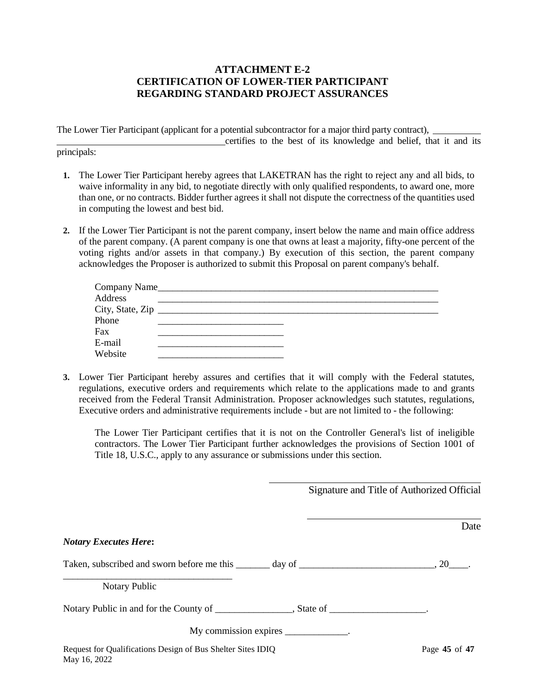### **ATTACHMENT E-2 CERTIFICATION OF LOWER-TIER PARTICIPANT REGARDING STANDARD PROJECT ASSURANCES**

The Lower Tier Participant (applicant for a potential subcontractor for a major third party contract),

certifies to the best of its knowledge and belief, that it and its

principals:

- **1.** The Lower Tier Participant hereby agrees that LAKETRAN has the right to reject any and all bids, to waive informality in any bid, to negotiate directly with only qualified respondents, to award one, more than one, or no contracts. Bidder further agrees it shall not dispute the correctness of the quantities used in computing the lowest and best bid.
- **2.** If the Lower Tier Participant is not the parent company, insert below the name and main office address of the parent company. (A parent company is one that owns at least a majority, fifty-one percent of the voting rights and/or assets in that company.) By execution of this section, the parent company acknowledges the Proposer is authorized to submit this Proposal on parent company's behalf.

| Address |  |  |  |
|---------|--|--|--|
|         |  |  |  |
| Phone   |  |  |  |
| Fax     |  |  |  |
| E-mail  |  |  |  |
| Website |  |  |  |

**3.** Lower Tier Participant hereby assures and certifies that it will comply with the Federal statutes, regulations, executive orders and requirements which relate to the applications made to and grants received from the Federal Transit Administration. Proposer acknowledges such statutes, regulations, Executive orders and administrative requirements include - but are not limited to - the following:

The Lower Tier Participant certifies that it is not on the Controller General's list of ineligible contractors. The Lower Tier Participant further acknowledges the provisions of Section 1001 of Title 18, U.S.C., apply to any assurance or submissions under this section.

| Signature and Title of Authorized Official |  |
|--------------------------------------------|--|
|--------------------------------------------|--|

|                                                                             | Date          |
|-----------------------------------------------------------------------------|---------------|
| <b>Notary Executes Here:</b>                                                |               |
|                                                                             |               |
| Notary Public                                                               |               |
|                                                                             |               |
| My commission expires _____________.                                        |               |
| Request for Qualifications Design of Bus Shelter Sites IDIQ<br>May 16, 2022 | Page 45 of 47 |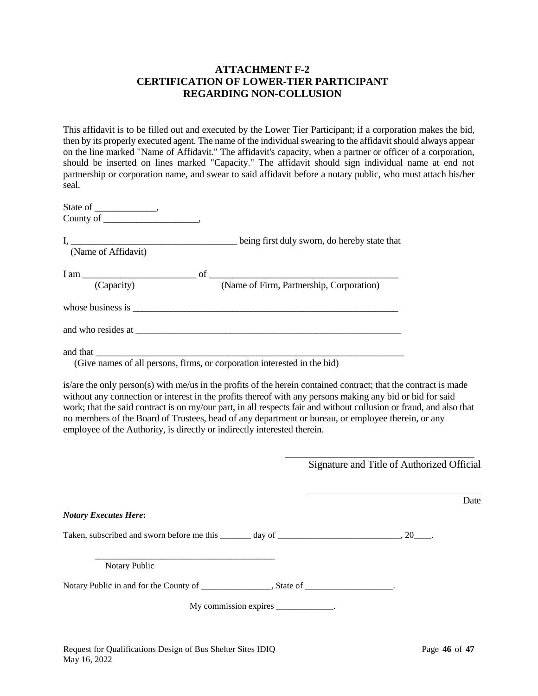### **ATTACHMENT F-2 CERTIFICATION OF LOWER-TIER PARTICIPANT REGARDING NON-COLLUSION**

This affidavit is to be filled out and executed by the Lower Tier Participant; if a corporation makes the bid, then by its properly executed agent. The name of the individual swearing to the affidavit should always appear on the line marked "Name of Affidavit." The affidavit's capacity, when a partner or officer of a corporation, should be inserted on lines marked "Capacity." The affidavit should sign individual name at end not partnership or corporation name, and swear to said affidavit before a notary public, who must attach his/her seal.

| (Name of Affidavit)                                                                                                                                                                                                            | being first duly sworn, do hereby state that |
|--------------------------------------------------------------------------------------------------------------------------------------------------------------------------------------------------------------------------------|----------------------------------------------|
| (Capacity)                                                                                                                                                                                                                     | (Name of Firm, Partnership, Corporation)     |
|                                                                                                                                                                                                                                |                                              |
| and who resides at the same state of the same state of the same state of the same state of the same state of the same state of the same state of the same state of the same state of the same state of the same state of the s |                                              |
|                                                                                                                                                                                                                                |                                              |

(Give names of all persons, firms, or corporation interested in the bid)

is/are the only person(s) with me/us in the profits of the herein contained contract; that the contract is made without any connection or interest in the profits thereof with any persons making any bid or bid for said work; that the said contract is on my/our part, in all respects fair and without collusion or fraud, and also that no members of the Board of Trustees, head of any department or bureau, or employee therein, or any employee of the Authority, is directly or indirectly interested therein.

| Signature and Title of Authorized Official |
|--------------------------------------------|

|                                                                                                                      | Date |
|----------------------------------------------------------------------------------------------------------------------|------|
| <b>Notary Executes Here:</b>                                                                                         |      |
| Taken, subscribed and sworn before me this $\frac{1}{2}$ day of $\frac{1}{2}$ and $\frac{1}{2}$ , 20 $\frac{1}{2}$ . |      |
| Notary Public                                                                                                        |      |
|                                                                                                                      |      |
| My commission expires _____________.                                                                                 |      |
|                                                                                                                      |      |